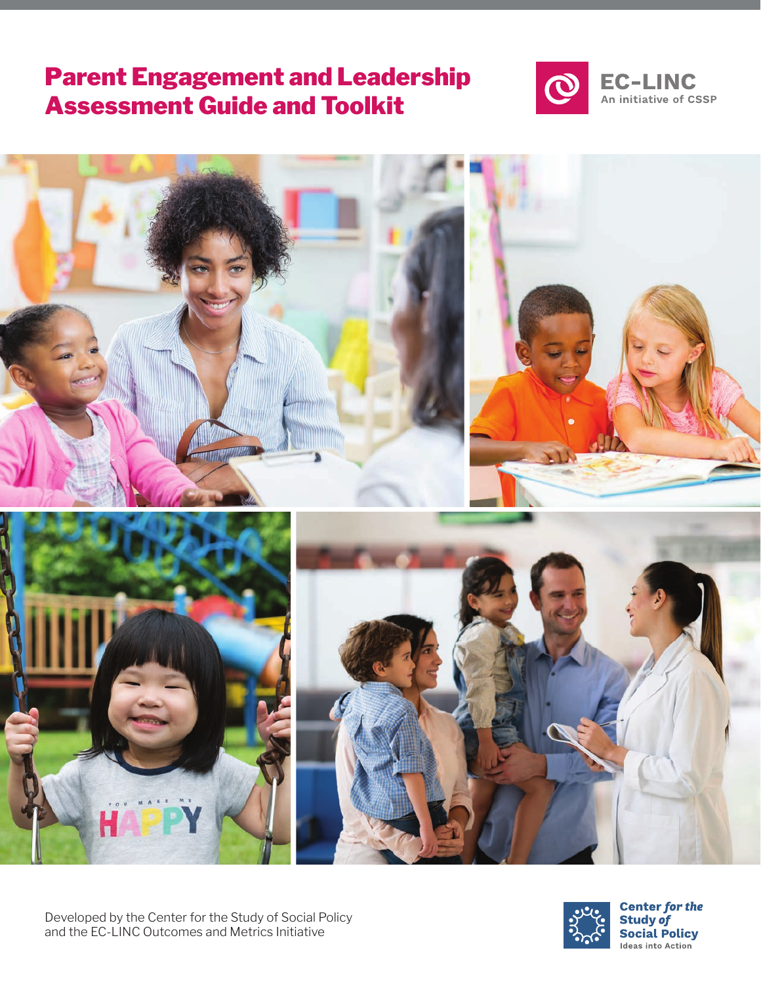## Parent Engagement and Leadership Assessment Guide and Toolkit







**Center for the Study of Social Policy** Ideas into Action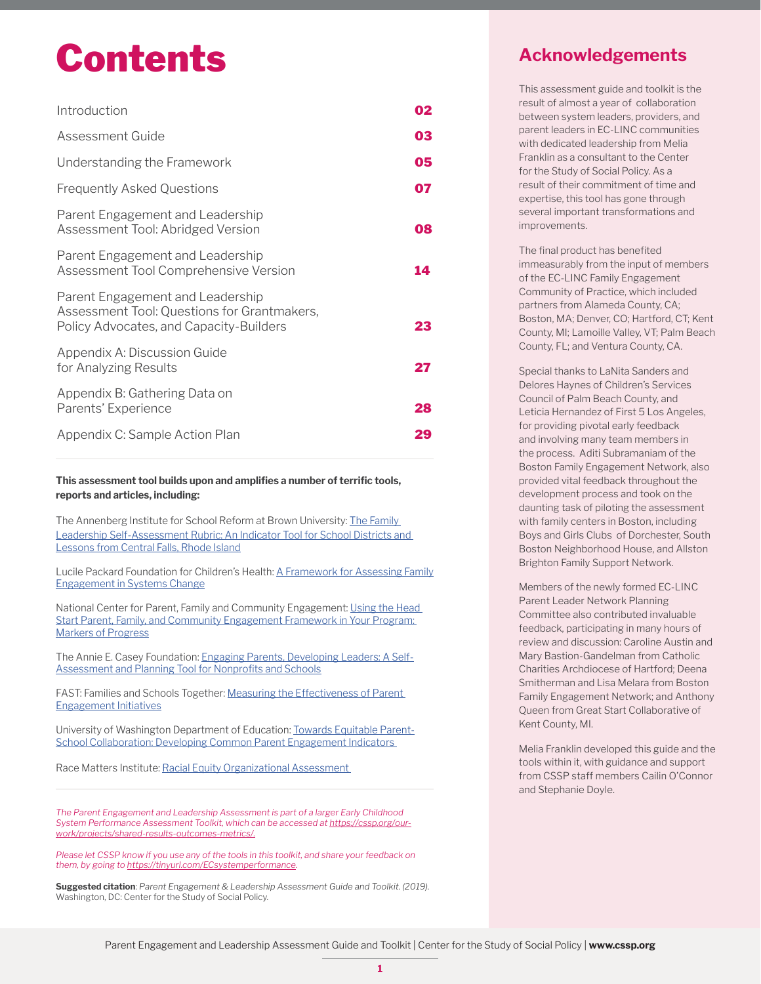# Contents

| Introduction                                                                                                               | 02 |
|----------------------------------------------------------------------------------------------------------------------------|----|
| Assessment Guide                                                                                                           | 03 |
| Understanding the Framework                                                                                                | 05 |
| <b>Frequently Asked Questions</b>                                                                                          | 07 |
| Parent Engagement and Leadership<br>Assessment Tool: Abridged Version                                                      | 08 |
| Parent Engagement and Leadership<br>Assessment Tool Comprehensive Version                                                  | 14 |
| Parent Engagement and Leadership<br>Assessment Tool: Questions for Grantmakers,<br>Policy Advocates, and Capacity-Builders | 23 |
| Appendix A: Discussion Guide<br>for Analyzing Results                                                                      | 27 |
| Appendix B: Gathering Data on<br>Parents' Experience                                                                       | 28 |
| Appendix C: Sample Action Plan                                                                                             | 29 |

**This assessment tool builds upon and amplifies a number of terrific tools, reports and articles, including:**

The Annenberg Institute for School Reform at Brown University: The Family [Leadership Self-Assessment Rubric: An Indicator Tool for School Districts and](http://www.annenberginstitute.org/sites/default/files/product/814/files/FamilyLeadershipRubric.pdf)  [Lessons from Central Falls, Rhode Island](http://www.annenberginstitute.org/sites/default/files/product/814/files/FamilyLeadershipRubric.pdf)

Lucile Packard Foundation for Children's Health: [A Framework for Assessing Family](https://www.lpfch.org/sites/default/files/field/publications/assessing_family_engagement_4.10.18.pdf)  [Engagement in Systems Change](https://www.lpfch.org/sites/default/files/field/publications/assessing_family_engagement_4.10.18.pdf)

National Center for Parent, Family and Community Engagement: Using the Head [Start Parent, Family, and Community Engagement Framework in Your Program:](https://eclkc.ohs.acf.hhs.gov/sites/default/files/pdf/ncpfce-markers-of-progress.pdf)  [Markers of Progress](https://eclkc.ohs.acf.hhs.gov/sites/default/files/pdf/ncpfce-markers-of-progress.pdf)

The Annie E. Casey Foundation: [Engaging Parents, Developing Leaders: A Self-](https://www.aecf.org/resources/engaging-parents-developing-leaders/)[Assessment and Planning Tool for Nonprofits and Schools](https://www.aecf.org/resources/engaging-parents-developing-leaders/)

FAST: Families and Schools Together: Measuring the Effectiveness of Parent [Engagement Initiatives](https://www.familiesandschools.org/blog/measuring-the-effectiveness-of-parent-engagement-initiatives/)

University of Washington Department of Education: [Towards Equitable Parent-](https://www.familiesandschools.org/blog/measuring-the-effectiveness-of-parent-engagement-initiatives/)School Collaboration: Developing Common Parent Engagement Indicators

Race Matters Institute: [Racial Equity Organizational Assessment](http://racemattersinstitute.org/) 

*The Parent Engagement and Leadership Assessment is part of a larger Early Childhood System Performance Assessment Toolkit, which can be accessed at [https://cssp.org/our](https://cssp.org/our-work/projects/shared-results-outcomes-metrics/)[work/projects/shared-results-outcomes-metrics/](https://cssp.org/our-work/projects/shared-results-outcomes-metrics/).*

*Please let CSSP know if you use any of the tools in this toolkit, and share your feedback on them, by going to<https://tinyurl.com/ECsystemperformance>.* 

**Suggested citation**: *Parent Engagement & Leadership Assessment Guide and Toolkit. (2019).*  Washington, DC: Center for the Study of Social Policy.

### **Acknowledgements**

This assessment guide and toolkit is the result of almost a year of collaboration between system leaders, providers, and parent leaders in EC-LINC communities with dedicated leadership from Melia Franklin as a consultant to the Center for the Study of Social Policy. As a result of their commitment of time and expertise, this tool has gone through several important transformations and improvements.

The final product has benefited immeasurably from the input of members of the EC-LINC Family Engagement Community of Practice, which included partners from Alameda County, CA; Boston, MA; Denver, CO; Hartford, CT; Kent County, MI; Lamoille Valley, VT; Palm Beach County, FL; and Ventura County, CA.

Special thanks to LaNita Sanders and Delores Haynes of Children's Services Council of Palm Beach County, and Leticia Hernandez of First 5 Los Angeles, for providing pivotal early feedback and involving many team members in the process. Aditi Subramaniam of the Boston Family Engagement Network, also provided vital feedback throughout the development process and took on the daunting task of piloting the assessment with family centers in Boston, including Boys and Girls Clubs of Dorchester, South Boston Neighborhood House, and Allston Brighton Family Support Network.

Members of the newly formed EC-LINC Parent Leader Network Planning Committee also contributed invaluable feedback, participating in many hours of review and discussion: Caroline Austin and Mary Bastion-Gandelman from Catholic Charities Archdiocese of Hartford; Deena Smitherman and Lisa Melara from Boston Family Engagement Network; and Anthony Queen from Great Start Collaborative of Kent County, MI.

Melia Franklin developed this guide and the tools within it, with guidance and support from CSSP staff members Cailin O'Connor and Stephanie Doyle.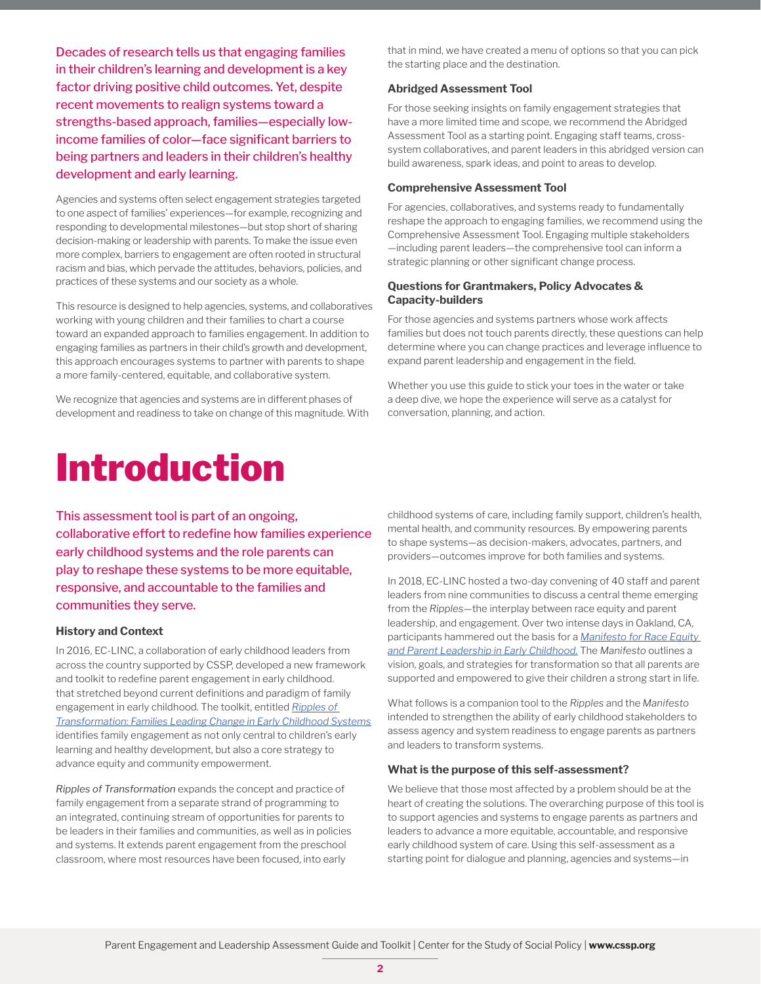Decades of research tells us that engaging families in their children's learning and development is a key factor driving positive child outcomes. Yet, despite recent movements to realign systems toward a strengths-based approach, families—especially lowincome families of color—face significant barriers to being partners and leaders in their children's healthy development and early learning.

Agencies and systems often select engagement strategies targeted to one aspect of families' experiences—for example, recognizing and responding to developmental milestones—but stop short of sharing decision-making or leadership with parents. To make the issue even more complex, barriers to engagement are often rooted in structural racism and bias, which pervade the attitudes, behaviors, policies, and practices of these systems and our society as a whole.

This resource is designed to help agencies, systems, and collaboratives working with young children and their families to chart a course toward an expanded approach to families engagement. In addition to engaging families as partners in their child's growth and development, this approach encourages systems to partner with parents to shape a more family-centered, equitable, and collaborative system.

We recognize that agencies and systems are in different phases of development and readiness to take on change of this magnitude. With

## Introduction

that in mind, we have created a menu of options so that you can pick the starting place and the destination.

#### **Abridged Assessment Tool**

For those seeking insights on family engagement strategies that have a more limited time and scope, we recommend the Abridged Assessment Tool as a starting point. Engaging staff teams, crosssystem collaboratives, and parent leaders in this abridged version can build awareness, spark ideas, and point to areas to develop.

#### **Comprehensive Assessment Tool**

For agencies, collaboratives, and systems ready to fundamentally reshape the approach to engaging families, we recommend using the Comprehensive Assessment Tool. Engaging multiple stakeholders —including parent leaders—the comprehensive tool can inform a strategic planning or other significant change process.

#### **Questions for Grantmakers, Policy Advocates & Capacity-builders**

For those agencies and systems partners whose work affects families but does not touch parents directly, these questions can help determine where you can change practices and leverage influence to expand parent leadership and engagement in the field.

Whether you use this guide to stick your toes in the water or take a deep dive, we hope the experience will serve as a catalyst for conversation, planning, and action.

This assessment tool is part of an ongoing, collaborative effort to redefine how families experience early childhood systems and the role parents can play to reshape these systems to be more equitable, responsive, and accountable to the families and communities they serve.

#### **History and Context**

In 2016, EC-LINC, a collaboration of early childhood leaders from across the country supported by CSSP, developed a new framework and toolkit to redefine parent engagement in early childhood. that stretched beyond current definitions and paradigm of family engagement in early childhood. The toolkit, entitled *[Ripples of](https://cssp.org/resource/firstfive-engagementtoolkit-5/)  [Transformation: Families Leading Change in Early Childhood Systems](https://cssp.org/resource/firstfive-engagementtoolkit-5/)* identifies family engagement as not only central to children's early learning and healthy development, but also a core strategy to advance equity and community empowerment.

*Ripples of Transformation* expands the concept and practice of family engagement from a separate strand of programming to an integrated, continuing stream of opportunities for parents to be leaders in their families and communities, as well as in policies and systems. It extends parent engagement from the preschool classroom, where most resources have been focused, into early

childhood systems of care, including family support, children's health, mental health, and community resources. By empowering parents to shape systems—as decision-makers, advocates, partners, and providers—outcomes improve for both families and systems.

In 2018, EC-LINC hosted a two-day convening of 40 staff and parent leaders from nine communities to discuss a central theme emerging from the *Ripples*—the interplay between race equity and parent leadership, and engagement. Over two intense days in Oakland, CA, participants hammered out the basis for a *[Manifesto for Race Equity](https://cssp.org/resource/manifesto-for-race-equity-parent-leadership-in-early-childhood-systems/)  [and Parent Leadership in Early Childhood.](https://cssp.org/resource/manifesto-for-race-equity-parent-leadership-in-early-childhood-systems/)* The *Manifesto* outlines a vision, goals, and strategies for transformation so that all parents are supported and empowered to give their children a strong start in life.

What follows is a companion tool to the *Ripples* and the *Manifesto* intended to strengthen the ability of early childhood stakeholders to assess agency and system readiness to engage parents as partners and leaders to transform systems.

#### **What is the purpose of this self-assessment?**

We believe that those most affected by a problem should be at the heart of creating the solutions. The overarching purpose of this tool is to support agencies and systems to engage parents as partners and leaders to advance a more equitable, accountable, and responsive early childhood system of care. Using this self-assessment as a starting point for dialogue and planning, agencies and systems—in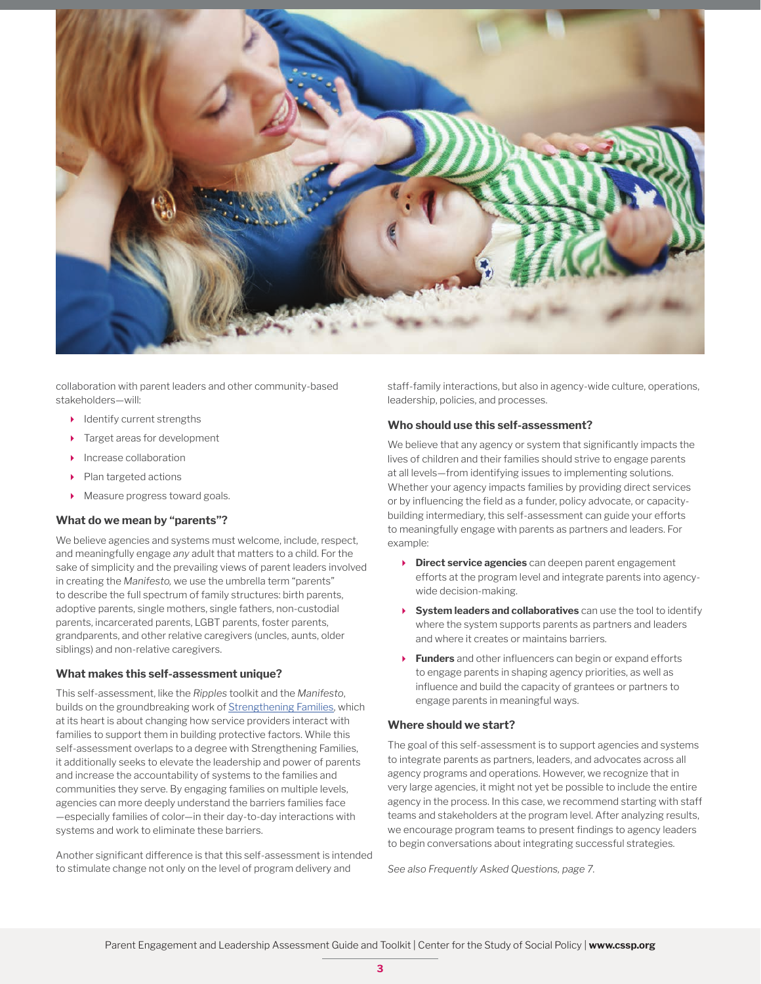

collaboration with parent leaders and other community-based stakeholders—will:

- $\blacktriangleright$  Identify current strengths
- Target areas for development
- Increase collaboration
- Plan targeted actions
- Measure progress toward goals.

#### **What do we mean by "parents"?**

We believe agencies and systems must welcome, include, respect, and meaningfully engage *any* adult that matters to a child. For the sake of simplicity and the prevailing views of parent leaders involved in creating the *Manifesto,* we use the umbrella term "parents" to describe the full spectrum of family structures: birth parents, adoptive parents, single mothers, single fathers, non-custodial parents, incarcerated parents, LGBT parents, foster parents, grandparents, and other relative caregivers (uncles, aunts, older siblings) and non-relative caregivers.

#### **What makes this self-assessment unique?**

This self-assessment, like the *Ripples* toolkit and the *Manifesto*, builds on the groundbreaking work of [Strengthening Families,](https://cssp.org/our-work/project/strengthening-families/) which at its heart is about changing how service providers interact with families to support them in building protective factors. While this self-assessment overlaps to a degree with Strengthening Families, it additionally seeks to elevate the leadership and power of parents and increase the accountability of systems to the families and communities they serve. By engaging families on multiple levels, agencies can more deeply understand the barriers families face —especially families of color—in their day-to-day interactions with systems and work to eliminate these barriers.

Another significant difference is that this self-assessment is intended to stimulate change not only on the level of program delivery and

staff-family interactions, but also in agency-wide culture, operations, leadership, policies, and processes.

#### **Who should use this self-assessment?**

We believe that any agency or system that significantly impacts the lives of children and their families should strive to engage parents at all levels—from identifying issues to implementing solutions. Whether your agency impacts families by providing direct services or by influencing the field as a funder, policy advocate, or capacitybuilding intermediary, this self-assessment can guide your efforts to meaningfully engage with parents as partners and leaders. For example:

- **Direct service agencies** can deepen parent engagement efforts at the program level and integrate parents into agencywide decision-making.
- **System leaders and collaboratives** can use the tool to identify where the system supports parents as partners and leaders and where it creates or maintains barriers.
- **Funders** and other influencers can begin or expand efforts to engage parents in shaping agency priorities, as well as influence and build the capacity of grantees or partners to engage parents in meaningful ways.

#### **Where should we start?**

The goal of this self-assessment is to support agencies and systems to integrate parents as partners, leaders, and advocates across all agency programs and operations. However, we recognize that in very large agencies, it might not yet be possible to include the entire agency in the process. In this case, we recommend starting with staff teams and stakeholders at the program level. After analyzing results, we encourage program teams to present findings to agency leaders to begin conversations about integrating successful strategies.

*See also Frequently Asked Questions, page 7.*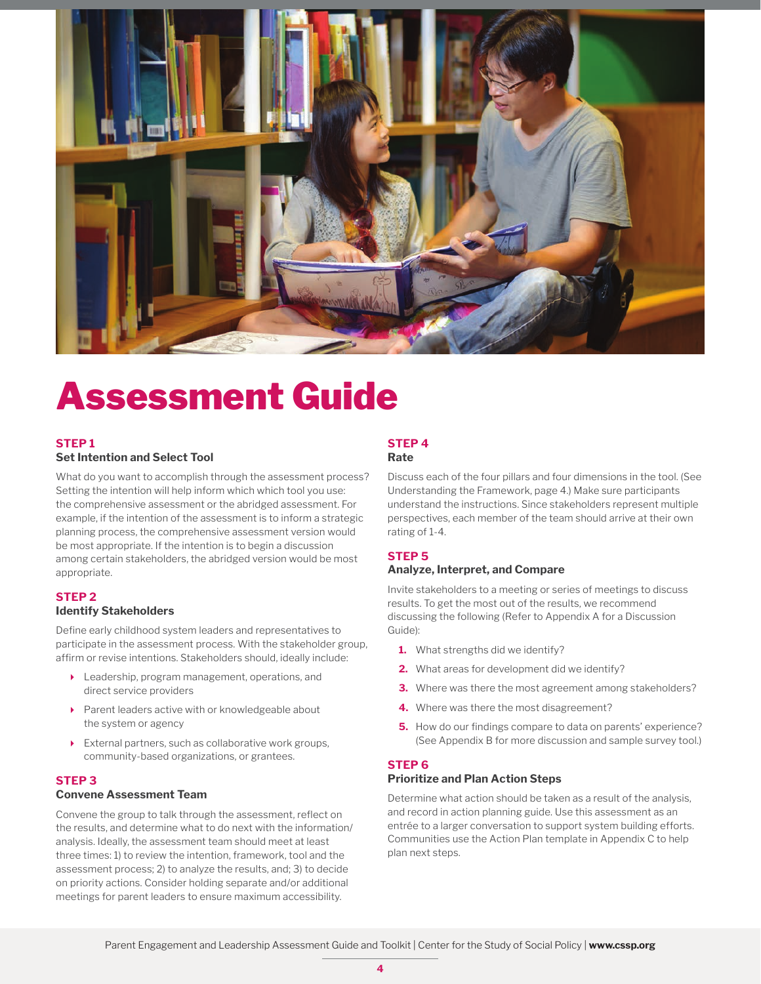

## Assessment Guide

#### **STEP 1 Set Intention and Select Tool**

What do you want to accomplish through the assessment process? Setting the intention will help inform which which tool you use: the comprehensive assessment or the abridged assessment. For example, if the intention of the assessment is to inform a strategic planning process, the comprehensive assessment version would be most appropriate. If the intention is to begin a discussion among certain stakeholders, the abridged version would be most appropriate.

#### **STEP 2**

#### **Identify Stakeholders**

Define early childhood system leaders and representatives to participate in the assessment process. With the stakeholder group, affirm or revise intentions. Stakeholders should, ideally include:

- Leadership, program management, operations, and direct service providers
- Parent leaders active with or knowledgeable about the system or agency
- External partners, such as collaborative work groups, community-based organizations, or grantees.

#### **STEP 3**

#### **Convene Assessment Team**

Convene the group to talk through the assessment, reflect on the results, and determine what to do next with the information/ analysis. Ideally, the assessment team should meet at least three times: 1) to review the intention, framework, tool and the assessment process; 2) to analyze the results, and; 3) to decide on priority actions. Consider holding separate and/or additional meetings for parent leaders to ensure maximum accessibility.

#### **STEP 4 Rate**

Discuss each of the four pillars and four dimensions in the tool. (See Understanding the Framework, page 4.) Make sure participants understand the instructions. Since stakeholders represent multiple perspectives, each member of the team should arrive at their own rating of 1-4.

#### **STEP 5**

#### **Analyze, Interpret, and Compare**

Invite stakeholders to a meeting or series of meetings to discuss results. To get the most out of the results, we recommend discussing the following (Refer to Appendix A for a Discussion Guide):

- **1.** What strengths did we identify?
- **2.** What areas for development did we identify?
- **3.** Where was there the most agreement among stakeholders?
- **4.** Where was there the most disagreement?
- **5.** How do our findings compare to data on parents' experience? (See Appendix B for more discussion and sample survey tool.)

#### **STEP 6**

#### **Prioritize and Plan Action Steps**

Determine what action should be taken as a result of the analysis, and record in action planning guide. Use this assessment as an entrée to a larger conversation to support system building efforts. Communities use the Action Plan template in Appendix C to help plan next steps.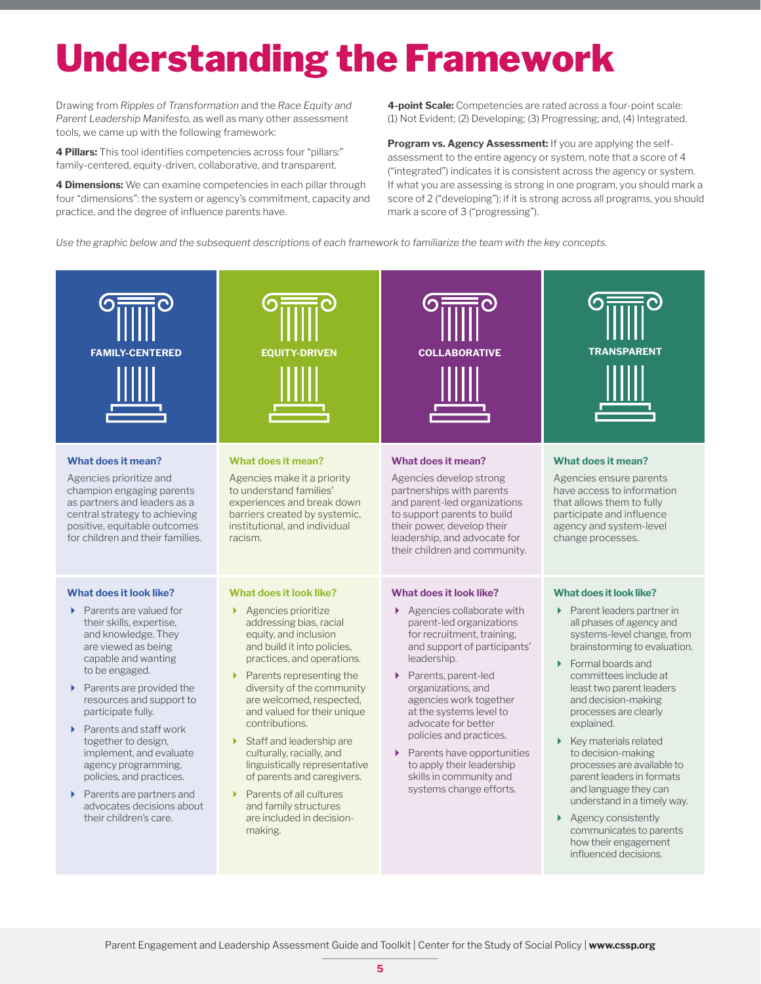# Understanding the Framework

Drawing from *Ripples of Transformation* and the *Race Equity and Parent Leadership Manifesto,* as well as many other assessment tools, we came up with the following framework:

**4 Pillars:** This tool identifies competencies across four "pillars:" family-centered, equity-driven, collaborative, and transparent.

**4 Dimensions:** We can examine competencies in each pillar through four "dimensions": the system or agency's commitment, capacity and practice, and the degree of influence parents have.

**4-point Scale:** Competencies are rated across a four-point scale: (1) Not Evident; (2) Developing; (3) Progressing; and, (4) Integrated.

**Program vs. Agency Assessment: If you are applying the self**assessment to the entire agency or system, note that a score of 4 ("integrated") indicates it is consistent across the agency or system. If what you are assessing is strong in one program, you should mark a score of 2 ("developing"); if it is strong across all programs, you should mark a score of 3 ("progressing").

*Use the graphic below and the subsequent descriptions of each framework to familiarize the team with the key concepts.*

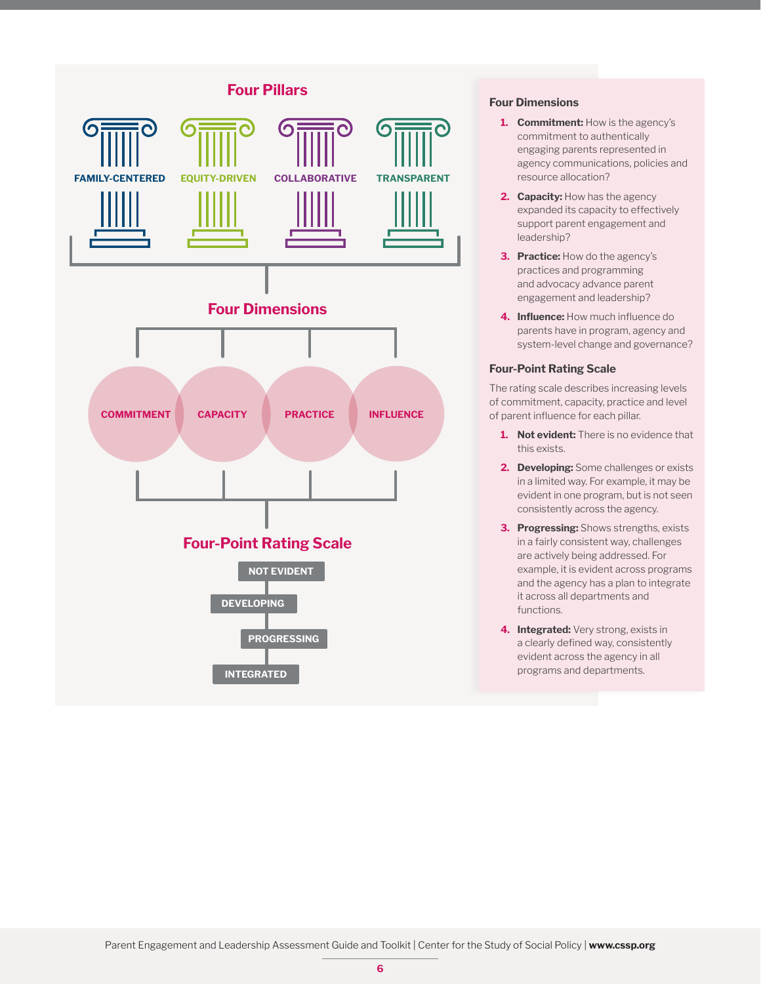

#### **Four Dimensions**

- **1. Commitment:** How is the agency's commitment to authentically engaging parents represented in agency communications, policies and resource allocation?
- 2. **Capacity:** How has the agency expanded its capacity to effectively support parent engagement and leadership?
- **3. Practice:** How do the agency's practices and programming and advocacy advance parent engagement and leadership?
- **4. Influence:** How much influence do parents have in program, agency and system-level change and governance?

#### **Four-Point Rating Scale**

The rating scale describes increasing levels of commitment, capacity, practice and level of parent influence for each pillar.

- **1. Not evident:** There is no evidence that this exists.
- **2. Developing:** Some challenges or exists in a limited way. For example, it may be evident in one program, but is not seen consistently across the agency.
- **3. Progressing:** Shows strengths, exists in a fairly consistent way, challenges are actively being addressed. For example, it is evident across programs and the agency has a plan to integrate it across all departments and functions.
- **4. Integrated:** Very strong, exists in a clearly defined way, consistently evident across the agency in all programs and departments.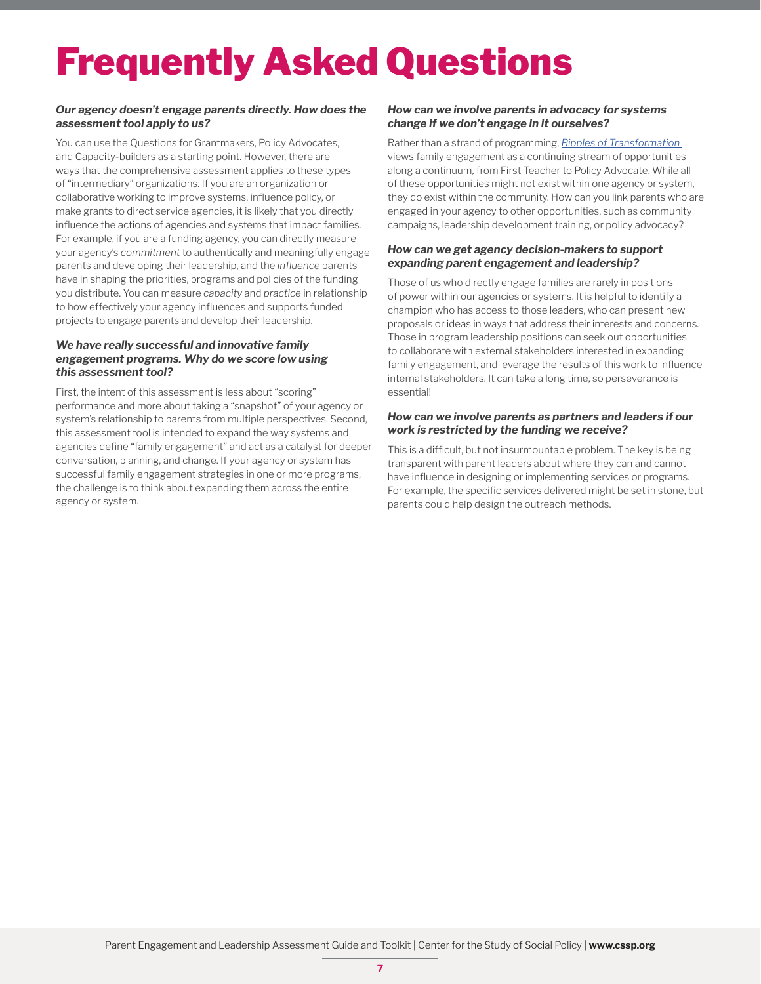# Frequently Asked Questions

#### *Our agency doesn't engage parents directly. How does the assessment tool apply to us?*

You can use the Questions for Grantmakers, Policy Advocates, and Capacity-builders as a starting point. However, there are ways that the comprehensive assessment applies to these types of "intermediary" organizations. If you are an organization or collaborative working to improve systems, influence policy, or make grants to direct service agencies, it is likely that you directly influence the actions of agencies and systems that impact families. For example, if you are a funding agency, you can directly measure your agency's *commitment* to authentically and meaningfully engage parents and developing their leadership, and the *influence* parents have in shaping the priorities, programs and policies of the funding you distribute. You can measure *capacity* and *practice* in relationship to how effectively your agency influences and supports funded projects to engage parents and develop their leadership.

#### *We have really successful and innovative family engagement programs. Why do we score low using this assessment tool?*

First, the intent of this assessment is less about "scoring" performance and more about taking a "snapshot" of your agency or system's relationship to parents from multiple perspectives. Second, this assessment tool is intended to expand the way systems and agencies define "family engagement" and act as a catalyst for deeper conversation, planning, and change. If your agency or system has successful family engagement strategies in one or more programs, the challenge is to think about expanding them across the entire agency or system.

#### *How can we involve parents in advocacy for systems change if we don't engage in it ourselves?*

Rather than a strand of programming, *[Ripples of Transformation](https://cssp.org/resource/firstfive-engagementtoolkit-5/)*  views family engagement as a continuing stream of opportunities along a continuum, from First Teacher to Policy Advocate. While all of these opportunities might not exist within one agency or system, they do exist within the community. How can you link parents who are engaged in your agency to other opportunities, such as community campaigns, leadership development training, or policy advocacy?

#### *How can we get agency decision-makers to support expanding parent engagement and leadership?*

Those of us who directly engage families are rarely in positions of power within our agencies or systems. It is helpful to identify a champion who has access to those leaders, who can present new proposals or ideas in ways that address their interests and concerns. Those in program leadership positions can seek out opportunities to collaborate with external stakeholders interested in expanding family engagement, and leverage the results of this work to influence internal stakeholders. It can take a long time, so perseverance is essential!

#### *How can we involve parents as partners and leaders if our work is restricted by the funding we receive?*

This is a difficult, but not insurmountable problem. The key is being transparent with parent leaders about where they can and cannot have influence in designing or implementing services or programs. For example, the specific services delivered might be set in stone, but parents could help design the outreach methods.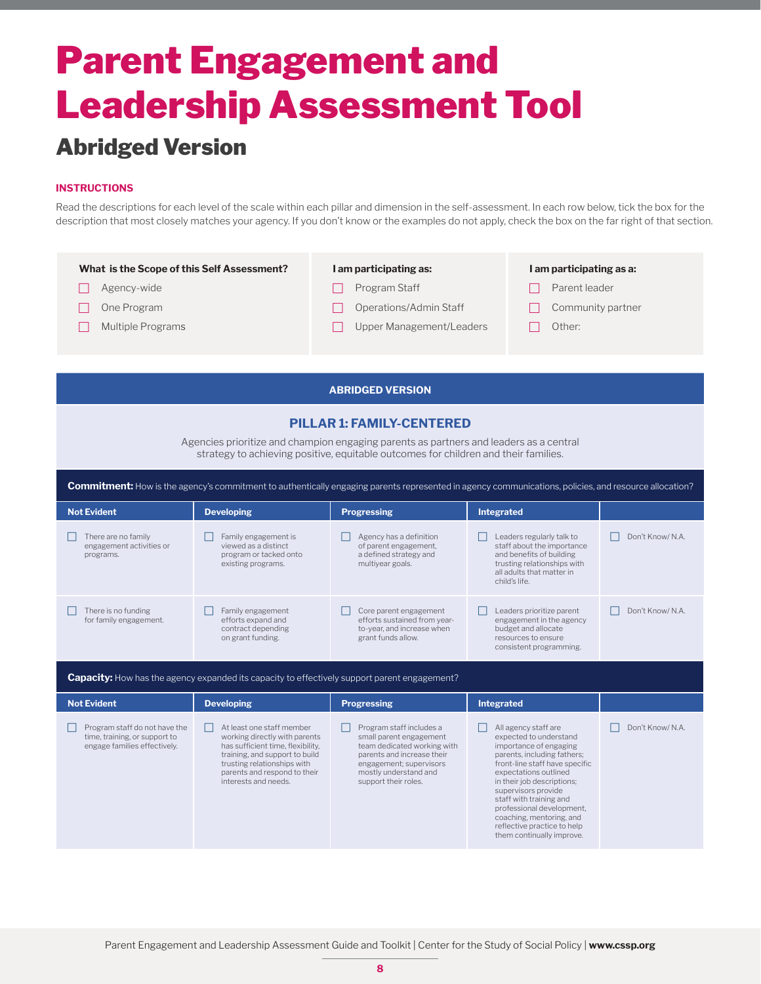### Abridged Version

#### **INSTRUCTIONS**

Read the descriptions for each level of the scale within each pillar and dimension in the self-assessment. In each row below, tick the box for the description that most closely matches your agency. If you don't know or the examples do not apply, check the box on the far right of that section.

| What is the Scope of this Self Assessment? | I am participating as:   | I am participating as a: |
|--------------------------------------------|--------------------------|--------------------------|
| Agency-wide                                | Program Staff            | Parent leader            |
| One Program                                | Operations/Admin Staff   | Community partner        |
| Multiple Programs                          | Upper Management/Leaders | Other:                   |
|                                            |                          |                          |
|                                            |                          |                          |

## **ABRIDGED VERSION**

#### **PILLAR 1: FAMILY-CENTERED**

Agencies prioritize and champion engaging parents as partners and leaders as a central strategy to achieving positive, equitable outcomes for children and their families.

| <b>Commitment:</b> How is the agency's commitment to authentically engaging parents represented in agency communications, policies, and resource allocation? |                                                                                                                                                                                                                          |                                                                                                                                                                                              |                                                                                                                                                                                                  |                  |  |
|--------------------------------------------------------------------------------------------------------------------------------------------------------------|--------------------------------------------------------------------------------------------------------------------------------------------------------------------------------------------------------------------------|----------------------------------------------------------------------------------------------------------------------------------------------------------------------------------------------|--------------------------------------------------------------------------------------------------------------------------------------------------------------------------------------------------|------------------|--|
| <b>Not Evident</b>                                                                                                                                           | <b>Developing</b>                                                                                                                                                                                                        | <b>Progressing</b>                                                                                                                                                                           | <b>Integrated</b>                                                                                                                                                                                |                  |  |
| There are no family<br>engagement activities or<br>programs.                                                                                                 | Family engagement is<br>viewed as a distinct<br>program or tacked onto<br>existing programs.                                                                                                                             | Agency has a definition<br>of parent engagement,<br>a defined strategy and<br>multiyear goals.                                                                                               | Leaders regularly talk to<br>staff about the importance<br>and benefits of building<br>trusting relationships with<br>all adults that matter in<br>child's life.                                 | Don't Know/ N.A. |  |
| There is no funding<br>for family engagement.                                                                                                                | Family engagement<br>efforts expand and<br>contract depending<br>on grant funding.                                                                                                                                       | Core parent engagement<br>efforts sustained from year-<br>to-year, and increase when<br>grant funds allow.                                                                                   | Leaders prioritize parent<br>engagement in the agency<br>budget and allocate<br>resources to ensure<br>consistent programming.                                                                   | Don't Know/ N.A. |  |
|                                                                                                                                                              | <b>Capacity:</b> How has the agency expanded its capacity to effectively support parent engagement?                                                                                                                      |                                                                                                                                                                                              |                                                                                                                                                                                                  |                  |  |
| <b>Not Evident</b>                                                                                                                                           | <b>Developing</b>                                                                                                                                                                                                        | <b>Progressing</b>                                                                                                                                                                           | Integrated                                                                                                                                                                                       |                  |  |
| Program staff do not have the<br>time, training, or support to<br>engage families effectively.                                                               | At least one staff member<br>working directly with parents<br>has sufficient time, flexibility,<br>training, and support to build<br>trusting relationships with<br>parents and respond to their<br>interests and needs. | Program staff includes a<br>small parent engagement<br>team dedicated working with<br>parents and increase their<br>engagement; supervisors<br>mostly understand and<br>support their roles. | All agency staff are<br>expected to understand<br>importance of engaging<br>parents, including fathers;<br>front-line staff have specific<br>expectations outlined<br>in their job descriptions; | Don't Know/N.A.  |  |

in their job descriptions; supervisors provide staff with training and professional development, coaching, mentoring, and reflective practice to help them continually improve.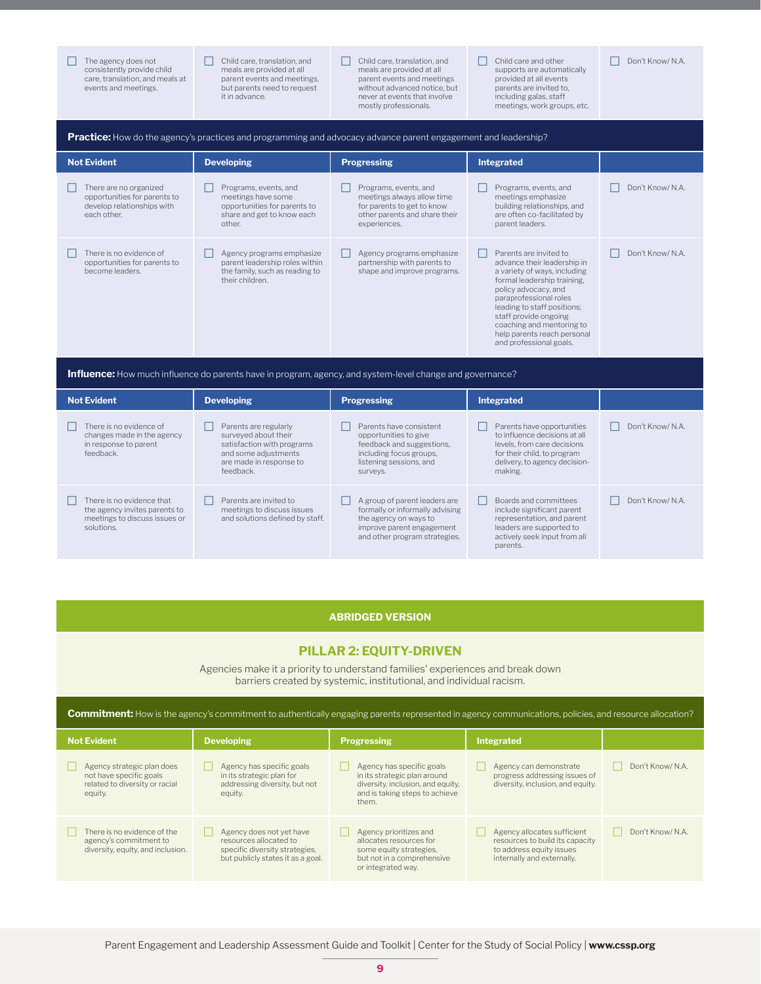The agency does not<br>consistently provide child care, translation, and meals at events and meetings.

 $\Box$  There is no evidence that the agency invites parents to meetings to discuss issues or

solutions.

 $\Box$  Child care, translation, and meals are provided at all parent events and meetings, but parents need to request it in advance.

are made in response to

feedback.

 $\Box$  Parents are invited to meetings to discuss issues and solutions defined by staff.

- Child care, translation, and meals are provided at all parent events and meetings without advanced notice, but never at events that involve mostly professionals.
- F Child care and other supports are automatically provided at all events parents are invited to, including galas, staff meetings, work groups, etc.

delivery, to agency decision-

 $\Box$  Boards and committees include significant parent representation, and parent leaders are supported to actively seek input from all parents.

making.

Don't Know/ N.A.

Don't Know/ N.A.

| <b>Practice:</b> How do the agency's practices and programming and advocacy advance parent engagement and leadership? |                                                                                                                     |                                                                                                                                    |                                                                                                                                                                                                                                                                                                                       |                  |  |
|-----------------------------------------------------------------------------------------------------------------------|---------------------------------------------------------------------------------------------------------------------|------------------------------------------------------------------------------------------------------------------------------------|-----------------------------------------------------------------------------------------------------------------------------------------------------------------------------------------------------------------------------------------------------------------------------------------------------------------------|------------------|--|
| <b>Not Evident</b>                                                                                                    | <b>Developing</b>                                                                                                   | <b>Progressing</b>                                                                                                                 | <b>Integrated</b>                                                                                                                                                                                                                                                                                                     |                  |  |
| There are no organized<br>opportunities for parents to<br>develop relationships with<br>each other.                   | Programs, events, and<br>meetings have some<br>opportunities for parents to<br>share and get to know each<br>other. | Programs, events, and<br>meetings always allow time<br>for parents to get to know<br>other parents and share their<br>experiences. | Programs, events, and<br>meetings emphasize<br>building relationships, and<br>are often co-facilitated by<br>parent leaders.                                                                                                                                                                                          | Don't Know/ N.A. |  |
| There is no evidence of<br>opportunities for parents to<br>become leaders.                                            | Agency programs emphasize<br>parent leadership roles within<br>the family, such as reading to<br>their children.    | Agency programs emphasize<br>partnership with parents to<br>shape and improve programs.                                            | Parents are invited to<br>advance their leadership in<br>a variety of ways, including<br>formal leadership training,<br>policy advocacy, and<br>paraprofessional roles<br>leading to staff positions;<br>staff provide ongoing<br>coaching and mentoring to<br>help parents reach personal<br>and professional goals. | Don't Know/ N.A. |  |
|                                                                                                                       | <b>Influence:</b> How much influence do parents have in program, agency, and system-level change and governance?    |                                                                                                                                    |                                                                                                                                                                                                                                                                                                                       |                  |  |
| <b>Not Evident</b>                                                                                                    | <b>Developing</b>                                                                                                   | <b>Progressing</b>                                                                                                                 | Integrated                                                                                                                                                                                                                                                                                                            |                  |  |
| There is no evidence of<br>changes made in the agency<br>in response to parent<br>feedback.                           | Parents are regularly<br>surveyed about their<br>satisfaction with programs<br>and some adjustments                 | Parents have consistent<br>opportunities to give<br>feedback and suggestions,<br>including focus groups,                           | Parents have opportunities<br>to influence decisions at all<br>levels, from care decisions<br>for their child, to program                                                                                                                                                                                             | Don't Know/N.A.  |  |

|  | <b>ABRIDGED VERSION</b> |  |
|--|-------------------------|--|

listening sessions, and

 $\Box$  A group of parent leaders are formally or informally advising the agency on ways to improve parent engagement and other program strategies.

surveys.

#### **PILLAR 2: EQUITY-DRIVEN**

Agencies make it a priority to understand families' experiences and break down barriers created by systemic, institutional, and individual racism.

| <b>Not Evident</b>                                                                                 | <b>Developing</b>                                                                                                         | <b>Progressing</b>                                                                                                                        | <b>Integrated</b>                                                                                                        |                  |
|----------------------------------------------------------------------------------------------------|---------------------------------------------------------------------------------------------------------------------------|-------------------------------------------------------------------------------------------------------------------------------------------|--------------------------------------------------------------------------------------------------------------------------|------------------|
| Agency strategic plan does<br>not have specific goals<br>related to diversity or racial<br>equity. | Agency has specific goals<br>in its strategic plan for<br>addressing diversity, but not<br>equity.                        | Agency has specific goals<br>in its strategic plan around<br>diversity, inclusion, and equity.<br>and is taking steps to achieve<br>them. | Agency can demonstrate<br>progress addressing issues of<br>diversity, inclusion, and equity.                             | Don't Know/ N.A. |
| There is no evidence of the<br>agency's commitment to<br>diversity, equity, and inclusion.         | Agency does not yet have<br>resources allocated to<br>specific diversity strategies.<br>but publicly states it as a goal. | Agency prioritizes and<br>allocates resources for<br>some equity strategies,<br>but not in a comprehensive<br>or integrated way.          | Agency allocates sufficient<br>resources to build its capacity<br>to address equity issues<br>internally and externally. | Don't Know/ N.A. |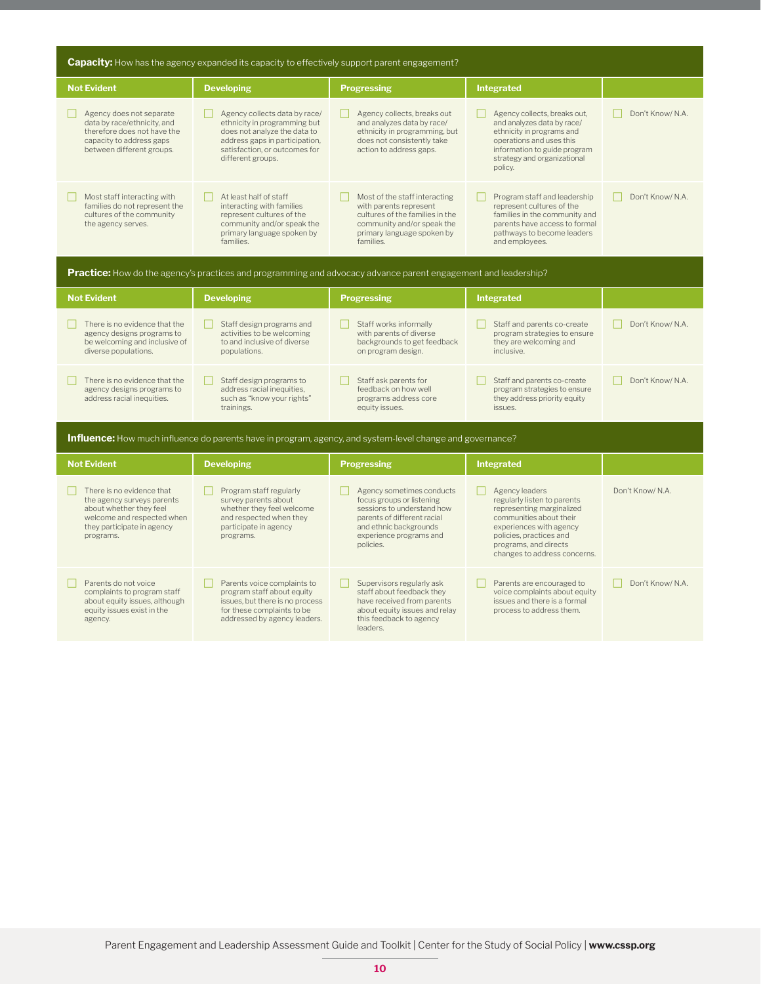| <b>Capacity:</b> How has the agency expanded its capacity to effectively support parent engagement?                                                         |                                                                                                                                                                                       |                                                                                                                                                                                       |                                                                                                                                                                                                                      |                                  |
|-------------------------------------------------------------------------------------------------------------------------------------------------------------|---------------------------------------------------------------------------------------------------------------------------------------------------------------------------------------|---------------------------------------------------------------------------------------------------------------------------------------------------------------------------------------|----------------------------------------------------------------------------------------------------------------------------------------------------------------------------------------------------------------------|----------------------------------|
| <b>Not Evident</b>                                                                                                                                          | <b>Developing</b>                                                                                                                                                                     | <b>Progressing</b>                                                                                                                                                                    | <b>Integrated</b>                                                                                                                                                                                                    |                                  |
| Agency does not separate<br>data by race/ethnicity, and<br>therefore does not have the<br>capacity to address gaps<br>between different groups.             | Agency collects data by race/<br>ethnicity in programming but<br>does not analyze the data to<br>address gaps in participation,<br>satisfaction, or outcomes for<br>different groups. | Agency collects, breaks out<br>and analyzes data by race/<br>ethnicity in programming, but<br>does not consistently take<br>action to address gaps.                                   | Agency collects, breaks out,<br>and analyzes data by race/<br>ethnicity in programs and<br>operations and uses this<br>information to guide program<br>strategy and organizational<br>policy.                        | Don't Know/ N.A.                 |
| Most staff interacting with<br>families do not represent the<br>cultures of the community<br>the agency serves.                                             | At least half of staff<br>interacting with families<br>represent cultures of the<br>community and/or speak the<br>primary language spoken by<br>families.                             | Most of the staff interacting<br>with parents represent<br>cultures of the families in the<br>community and/or speak the<br>primary language spoken by<br>families.                   | Program staff and leadership<br>represent cultures of the<br>families in the community and<br>parents have access to formal<br>pathways to become leaders<br>and employees.                                          | Don't Know/ N.A.                 |
|                                                                                                                                                             |                                                                                                                                                                                       | Practice: How do the agency's practices and programming and advocacy advance parent engagement and leadership?                                                                        |                                                                                                                                                                                                                      |                                  |
| <b>Not Evident</b>                                                                                                                                          | <b>Developing</b>                                                                                                                                                                     | <b>Progressing</b>                                                                                                                                                                    | <b>Integrated</b>                                                                                                                                                                                                    |                                  |
| There is no evidence that the<br>agency designs programs to<br>be welcoming and inclusive of<br>diverse populations.                                        | Staff design programs and<br>activities to be welcoming<br>to and inclusive of diverse<br>populations.                                                                                | Staff works informally<br>with parents of diverse<br>backgrounds to get feedback<br>on program design.                                                                                | Staff and parents co-create<br>program strategies to ensure<br>they are welcoming and<br>inclusive.                                                                                                                  | Don't Know/ N.A.                 |
| There is no evidence that the<br>agency designs programs to<br>address racial inequities.                                                                   | Staff design programs to<br>address racial inequities,<br>such as "know your rights"<br>trainings.                                                                                    | Staff ask parents for<br>feedback on how well<br>programs address core<br>equity issues.                                                                                              | Staff and parents co-create<br>program strategies to ensure<br>they address priority equity<br>issues.                                                                                                               | Don't Know/ N.A.<br>$\mathbf{1}$ |
|                                                                                                                                                             |                                                                                                                                                                                       | <b>Influence:</b> How much influence do parents have in program, agency, and system-level change and governance?                                                                      |                                                                                                                                                                                                                      |                                  |
| <b>Not Evident</b>                                                                                                                                          | <b>Developing</b>                                                                                                                                                                     | <b>Progressing</b>                                                                                                                                                                    | Integrated                                                                                                                                                                                                           |                                  |
| There is no evidence that<br>the agency surveys parents<br>about whether they feel<br>welcome and respected when<br>they participate in agency<br>programs. | Program staff regularly<br>survey parents about<br>whether they feel welcome<br>and respected when they<br>participate in agency<br>programs.                                         | Agency sometimes conducts<br>focus groups or listening<br>sessions to understand how<br>parents of different racial<br>and ethnic backgrounds<br>experience programs and<br>policies. | Agency leaders<br>regularly listen to parents<br>representing marginalized<br>communities about their<br>experiences with agency<br>policies, practices and<br>programs, and directs<br>changes to address concerns. | Don't Know/ N.A.                 |
| Parents do not voice<br>complaints to program staff<br>about equity issues, although<br>equity issues exist in the<br>agency.                               | Parents voice complaints to<br>program staff about equity<br>issues, but there is no process<br>for these complaints to be<br>addressed by agency leaders.                            | Supervisors regularly ask<br>H<br>staff about feedback they<br>have received from parents<br>about equity issues and relay<br>this feedback to agency<br>leaders.                     | Parents are encouraged to<br>voice complaints about equity<br>issues and there is a formal<br>process to address them.                                                                                               | Don't Know/ N.A.                 |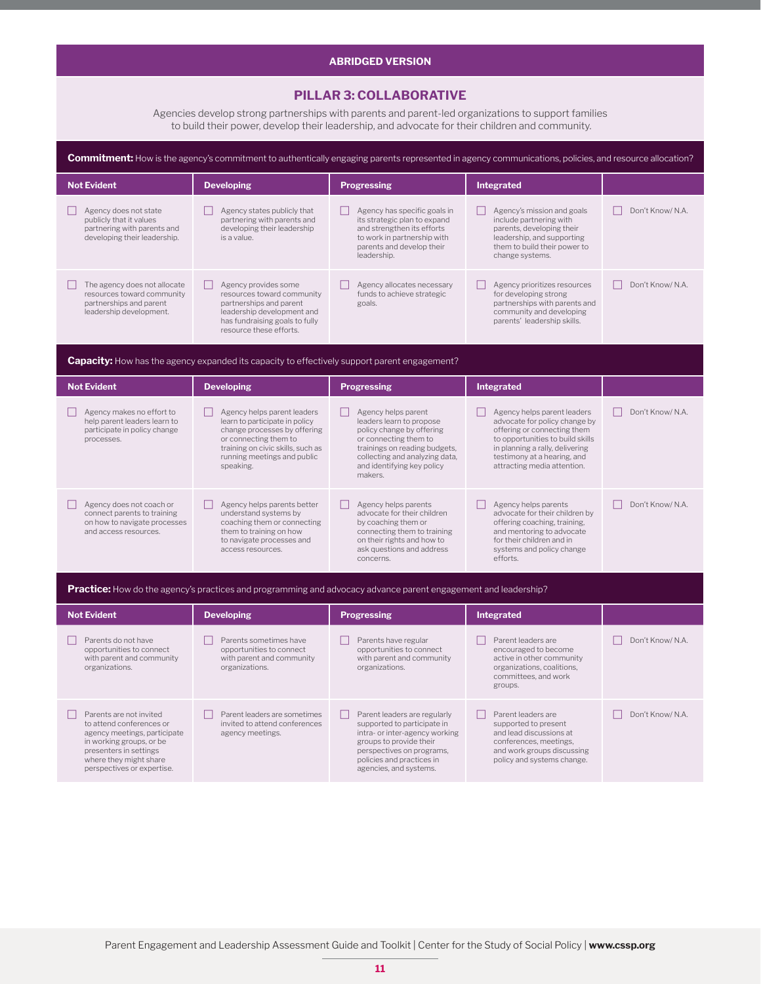#### **ABRIDGED VERSION**

#### **PILLAR 3: COLLABORATIVE**

Agencies develop strong partnerships with parents and parent-led organizations to support families to build their power, develop their leadership, and advocate for their children and community.

| Commitment: How is the agency's commitment to authentically engaging parents represented in agency communications, policies, and resource allocation?                                             |                                                                                                                                                                                                         |                                                                                                                                                                                                                   |                                                                                                                                                                                                                                  |                  |
|---------------------------------------------------------------------------------------------------------------------------------------------------------------------------------------------------|---------------------------------------------------------------------------------------------------------------------------------------------------------------------------------------------------------|-------------------------------------------------------------------------------------------------------------------------------------------------------------------------------------------------------------------|----------------------------------------------------------------------------------------------------------------------------------------------------------------------------------------------------------------------------------|------------------|
| <b>Not Evident</b>                                                                                                                                                                                | <b>Developing</b>                                                                                                                                                                                       | <b>Progressing</b>                                                                                                                                                                                                | Integrated                                                                                                                                                                                                                       |                  |
| Agency does not state<br>publicly that it values<br>partnering with parents and<br>developing their leadership.                                                                                   | $\Box$ Agency states publicly that<br>partnering with parents and<br>developing their leadership<br>is a value.                                                                                         | Agency has specific goals in<br>its strategic plan to expand<br>and strengthen its efforts<br>to work in partnership with<br>parents and develop their<br>leadership.                                             | П<br>Agency's mission and goals<br>include partnering with<br>parents, developing their<br>leadership, and supporting<br>them to build their power to<br>change systems.                                                         | Don't Know/N.A.  |
| The agency does not allocate<br>resources toward community<br>partnerships and parent<br>leadership development.                                                                                  | Agency provides some<br>resources toward community<br>partnerships and parent<br>leadership development and<br>has fundraising goals to fully<br>resource these efforts.                                | Agency allocates necessary<br>funds to achieve strategic<br>goals.                                                                                                                                                | Agency prioritizes resources<br>for developing strong<br>partnerships with parents and<br>community and developing<br>parents' leadership skills.                                                                                | Don't Know/ N.A. |
|                                                                                                                                                                                                   | <b>Capacity:</b> How has the agency expanded its capacity to effectively support parent engagement?                                                                                                     |                                                                                                                                                                                                                   |                                                                                                                                                                                                                                  |                  |
| <b>Not Evident</b>                                                                                                                                                                                | <b>Developing</b>                                                                                                                                                                                       | <b>Progressing</b>                                                                                                                                                                                                | <b>Integrated</b>                                                                                                                                                                                                                |                  |
| Agency makes no effort to<br>help parent leaders learn to<br>participate in policy change<br>processes.                                                                                           | Agency helps parent leaders<br>learn to participate in policy<br>change processes by offering<br>or connecting them to<br>training on civic skills, such as<br>running meetings and public<br>speaking. | Agency helps parent<br>leaders learn to propose<br>policy change by offering<br>or connecting them to<br>trainings on reading budgets,<br>collecting and analyzing data,<br>and identifying key policy<br>makers. | Agency helps parent leaders<br>advocate for policy change by<br>offering or connecting them<br>to opportunities to build skills<br>in planning a rally, delivering<br>testimony at a hearing, and<br>attracting media attention. | Don't Know/ N.A. |
| Agency does not coach or<br>connect parents to training<br>on how to navigate processes<br>and access resources.                                                                                  | Agency helps parents better<br>understand systems by<br>coaching them or connecting<br>them to training on how<br>to navigate processes and<br>access resources.                                        | Agency helps parents<br>advocate for their children<br>by coaching them or<br>connecting them to training<br>on their rights and how to<br>ask questions and address<br>concerns.                                 | Agency helps parents<br>advocate for their children by<br>offering coaching, training,<br>and mentoring to advocate<br>for their children and in<br>systems and policy change<br>efforts.                                        | Don't Know/ N.A. |
|                                                                                                                                                                                                   |                                                                                                                                                                                                         | <b>Practice:</b> How do the agency's practices and programming and advocacy advance parent engagement and leadership?                                                                                             |                                                                                                                                                                                                                                  |                  |
| <b>Not Evident</b>                                                                                                                                                                                | <b>Developing</b>                                                                                                                                                                                       | <b>Progressing</b>                                                                                                                                                                                                | <b>Integrated</b>                                                                                                                                                                                                                |                  |
| Parents do not have<br>opportunities to connect<br>with parent and community<br>organizations.                                                                                                    | Parents sometimes have<br>opportunities to connect<br>with parent and community<br>organizations.                                                                                                       | Parents have regular<br>opportunities to connect<br>with parent and community<br>organizations.                                                                                                                   | Parent leaders are<br>encouraged to become<br>active in other community<br>organizations, coalitions,<br>committees, and work<br>groups.                                                                                         | Don't Know/ N.A. |
| Parents are not invited<br>to attend conferences or<br>agency meetings, participate<br>in working groups, or be<br>presenters in settings<br>where they might share<br>perspectives or expertise. | Parent leaders are sometimes<br>invited to attend conferences<br>agency meetings.                                                                                                                       | Parent leaders are regularly<br>supported to participate in<br>intra- or inter-agency working<br>groups to provide their<br>perspectives on programs,<br>policies and practices in<br>agencies, and systems.      | Parent leaders are<br>supported to present<br>and lead discussions at<br>conferences, meetings,<br>and work groups discussing<br>policy and systems change.                                                                      | Don't Know/ N.A. |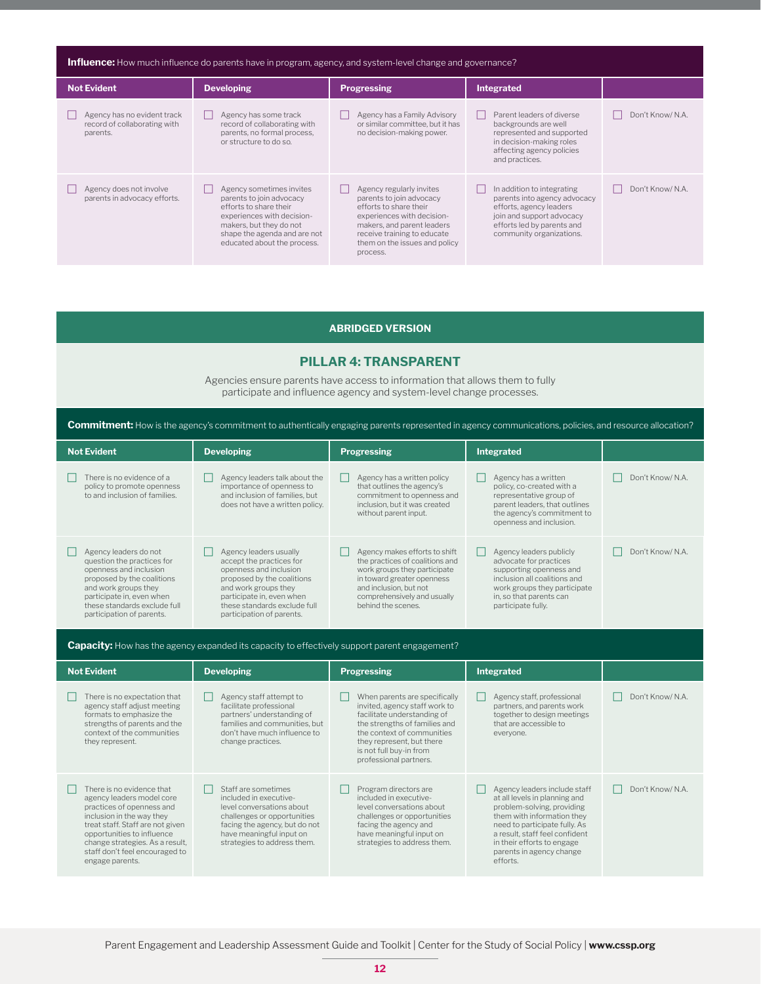| <b>Influence:</b> How much influence do parents have in program, agency, and system-level change and governance? |                                                                                                                                                                                                        |                                                                                                                                                                                                                        |                                                                                                                                                                              |                  |  |
|------------------------------------------------------------------------------------------------------------------|--------------------------------------------------------------------------------------------------------------------------------------------------------------------------------------------------------|------------------------------------------------------------------------------------------------------------------------------------------------------------------------------------------------------------------------|------------------------------------------------------------------------------------------------------------------------------------------------------------------------------|------------------|--|
| <b>Not Evident</b>                                                                                               | <b>Developing</b>                                                                                                                                                                                      | <b>Progressing</b>                                                                                                                                                                                                     | <b>Integrated</b>                                                                                                                                                            |                  |  |
| Agency has no evident track<br>record of collaborating with<br>parents.                                          | Agency has some track<br>record of collaborating with<br>parents, no formal process,<br>or structure to do so.                                                                                         | Agency has a Family Advisory<br>or similar committee, but it has<br>no decision-making power.                                                                                                                          | Parent leaders of diverse<br>backgrounds are well<br>represented and supported<br>in decision-making roles<br>affecting agency policies<br>and practices.                    | Don't Know/ N.A. |  |
| Agency does not involve<br>parents in advocacy efforts.                                                          | Agency sometimes invites<br>parents to join advocacy<br>efforts to share their<br>experiences with decision-<br>makers, but they do not<br>shape the agenda and are not<br>educated about the process. | Agency regularly invites<br>parents to join advocacy<br>efforts to share their<br>experiences with decision-<br>makers, and parent leaders<br>receive training to educate<br>them on the issues and policy<br>process. | In addition to integrating<br>parents into agency advocacy<br>efforts, agency leaders<br>join and support advocacy<br>efforts led by parents and<br>community organizations. | Don't Know/ N.A. |  |

#### **ABRIDGED VERSION**

#### **PILLAR 4: TRANSPARENT**

Agencies ensure parents have access to information that allows them to fully participate and influence agency and system-level change processes.

**Commitment:** How is the agency's commitment to authentically engaging parents represented in agency communications, policies, and resource allocation?

| <b>Not Evident</b>                                                                                                                                                                                                            | <b>Developing</b>                                                                                                                                                                                                            | <b>Progressing</b>                                                                                                                                                                                            | Integrated                                                                                                                                                                                    |                  |
|-------------------------------------------------------------------------------------------------------------------------------------------------------------------------------------------------------------------------------|------------------------------------------------------------------------------------------------------------------------------------------------------------------------------------------------------------------------------|---------------------------------------------------------------------------------------------------------------------------------------------------------------------------------------------------------------|-----------------------------------------------------------------------------------------------------------------------------------------------------------------------------------------------|------------------|
| There is no evidence of a<br>policy to promote openness<br>to and inclusion of families.                                                                                                                                      | Agency leaders talk about the<br>importance of openness to<br>and inclusion of families, but<br>does not have a written policy.                                                                                              | Agency has a written policy<br>that outlines the agency's<br>commitment to openness and<br>inclusion, but it was created<br>without parent input.                                                             | Agency has a written<br>policy, co-created with a<br>representative group of<br>parent leaders, that outlines<br>the agency's commitment to<br>openness and inclusion.                        | Don't Know/ N.A. |
| Agency leaders do not<br>question the practices for<br>openness and inclusion<br>proposed by the coalitions<br>and work groups they<br>participate in, even when<br>these standards exclude full<br>participation of parents. | Agency leaders usually<br>accept the practices for<br>openness and inclusion<br>proposed by the coalitions<br>and work groups they<br>participate in, even when<br>these standards exclude full<br>participation of parents. | Agency makes efforts to shift<br>the practices of coalitions and<br>work groups they participate<br>in toward greater openness<br>and inclusion, but not<br>comprehensively and usually<br>behind the scenes. | Agency leaders publicly<br>advocate for practices<br>supporting openness and<br>inclusion all coalitions and<br>work groups they participate<br>in, so that parents can<br>participate fully. | Don't Know/ N.A. |

**Capacity:** How has the agency expanded its capacity to effectively support parent engagement?

| <b>Not Evident</b>                                                                                                                                                                                                                                                         | <b>Developing</b>                                                                                                                                                                                     | <b>Progressing</b>                                                                                                                                                                                                                             | Integrated                                                                                                                                                                                                                                                         |                  |
|----------------------------------------------------------------------------------------------------------------------------------------------------------------------------------------------------------------------------------------------------------------------------|-------------------------------------------------------------------------------------------------------------------------------------------------------------------------------------------------------|------------------------------------------------------------------------------------------------------------------------------------------------------------------------------------------------------------------------------------------------|--------------------------------------------------------------------------------------------------------------------------------------------------------------------------------------------------------------------------------------------------------------------|------------------|
| There is no expectation that<br>agency staff adjust meeting<br>formats to emphasize the<br>strengths of parents and the<br>context of the communities<br>they represent.                                                                                                   | Agency staff attempt to<br>facilitate professional<br>partners' understanding of<br>families and communities, but<br>don't have much influence to<br>change practices.                                | When parents are specifically<br>invited, agency staff work to<br>facilitate understanding of<br>the strengths of families and<br>the context of communities<br>they represent, but there<br>is not full buy-in from<br>professional partners. | Agency staff, professional<br>partners, and parents work<br>together to design meetings<br>that are accessible to<br>everyone.                                                                                                                                     | Don't Know/ N.A. |
| There is no evidence that<br>agency leaders model core<br>practices of openness and<br>inclusion in the way they<br>treat staff. Staff are not given<br>opportunities to influence<br>change strategies. As a result,<br>staff don't feel encouraged to<br>engage parents. | Staff are sometimes<br>included in executive-<br>level conversations about<br>challenges or opportunities<br>facing the agency, but do not<br>have meaningful input on<br>strategies to address them. | Program directors are<br>included in executive-<br>level conversations about<br>challenges or opportunities<br>facing the agency and<br>have meaningful input on<br>strategies to address them.                                                | Agency leaders include staff<br>at all levels in planning and<br>problem-solving, providing<br>them with information they<br>need to participate fully. As<br>a result, staff feel confident<br>in their efforts to engage<br>parents in agency change<br>efforts. | Don't Know/ N.A. |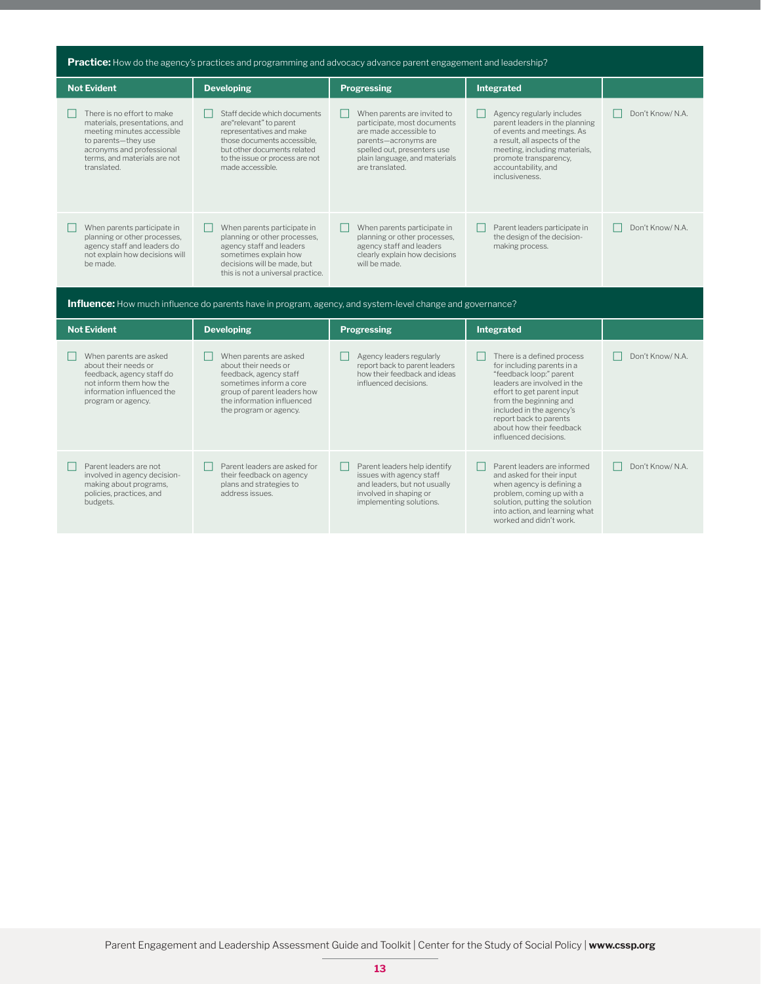| Practice: How do the agency's practices and programming and advocacy advance parent engagement and leadership?                                                                               |                                                                                                                                                                                                          |                                                                                                                                                                                                 |                                                                                                                                                                                                                                                                                       |                  |
|----------------------------------------------------------------------------------------------------------------------------------------------------------------------------------------------|----------------------------------------------------------------------------------------------------------------------------------------------------------------------------------------------------------|-------------------------------------------------------------------------------------------------------------------------------------------------------------------------------------------------|---------------------------------------------------------------------------------------------------------------------------------------------------------------------------------------------------------------------------------------------------------------------------------------|------------------|
| <b>Not Evident</b>                                                                                                                                                                           | <b>Developing</b>                                                                                                                                                                                        | <b>Progressing</b>                                                                                                                                                                              | Integrated                                                                                                                                                                                                                                                                            |                  |
| There is no effort to make<br>materials, presentations, and<br>meeting minutes accessible<br>to parents-they use<br>acronyms and professional<br>terms, and materials are not<br>translated. | Staff decide which documents<br>are"relevant" to parent<br>representatives and make<br>those documents accessible,<br>but other documents related<br>to the issue or process are not<br>made accessible. | When parents are invited to<br>participate, most documents<br>are made accessible to<br>parents-acronyms are<br>spelled out, presenters use<br>plain language, and materials<br>are translated. | Agency regularly includes<br>parent leaders in the planning<br>of events and meetings. As<br>a result, all aspects of the<br>meeting, including materials,<br>promote transparency,<br>accountability, and<br>inclusiveness.                                                          | Don't Know/ N.A. |
| When parents participate in<br>planning or other processes,<br>agency staff and leaders do<br>not explain how decisions will<br>be made.                                                     | When parents participate in<br>planning or other processes,<br>agency staff and leaders<br>sometimes explain how<br>decisions will be made, but<br>this is not a universal practice.                     | When parents participate in<br>planning or other processes,<br>agency staff and leaders<br>clearly explain how decisions<br>will be made.                                                       | Parent leaders participate in<br>the design of the decision-<br>making process.                                                                                                                                                                                                       | Don't Know/ N.A. |
|                                                                                                                                                                                              | <b>Influence:</b> How much influence do parents have in program, agency, and system-level change and governance?                                                                                         |                                                                                                                                                                                                 |                                                                                                                                                                                                                                                                                       |                  |
| <b>Not Evident</b>                                                                                                                                                                           | <b>Developing</b>                                                                                                                                                                                        | <b>Progressing</b>                                                                                                                                                                              | Integrated                                                                                                                                                                                                                                                                            |                  |
| When parents are asked<br>about their needs or<br>feedback, agency staff do<br>not inform them how the<br>information influenced the<br>program or agency.                                   | When parents are asked<br>about their needs or<br>feedback, agency staff<br>sometimes inform a core<br>group of parent leaders how<br>the information influenced<br>the program or agency.               | Agency leaders regularly<br>report back to parent leaders<br>how their feedback and ideas<br>influenced decisions.                                                                              | There is a defined process<br>for including parents in a<br>"feedback loop:" parent<br>leaders are involved in the<br>effort to get parent input<br>from the beginning and<br>included in the agency's<br>report back to parents<br>about how their feedback<br>influenced decisions. | Don't Know/ N.A. |
| Parent leaders are not<br>involved in agency decision-<br>making about programs,                                                                                                             | Parent leaders are asked for<br>their feedback on agency<br>plans and strategies to                                                                                                                      | Parent leaders help identify<br>issues with agency staff<br>and leaders, but not usually                                                                                                        | Parent leaders are informed<br>and asked for their input<br>when agency is defining a                                                                                                                                                                                                 | Don't Know/ N.A. |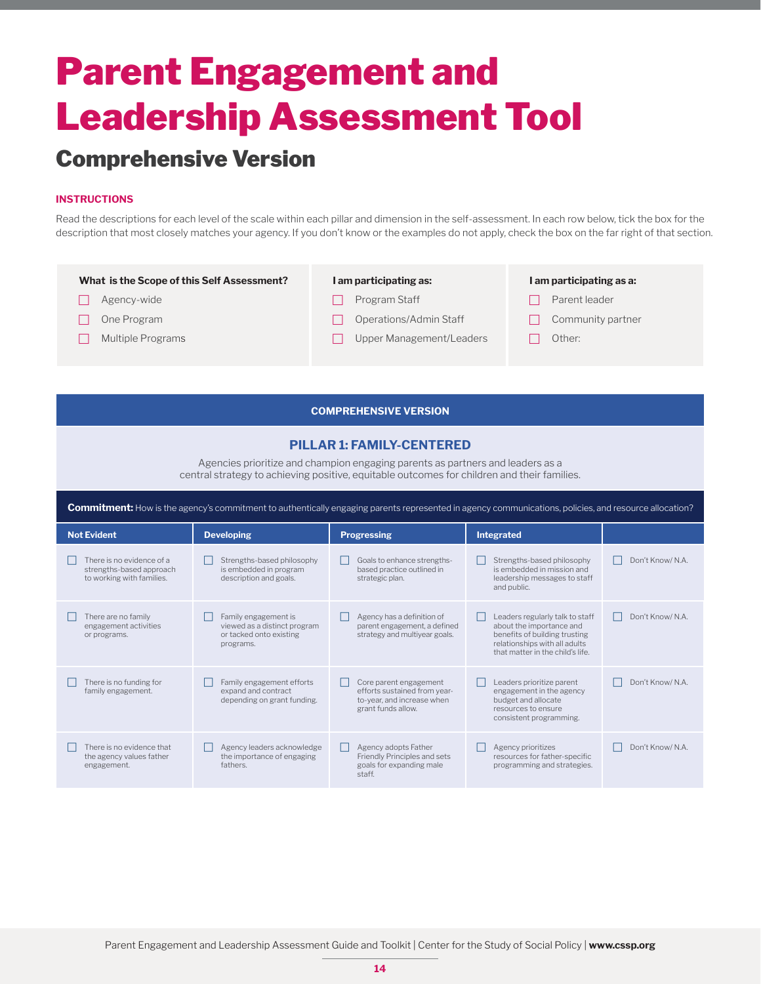### Comprehensive Version

#### **INSTRUCTIONS**

Read the descriptions for each level of the scale within each pillar and dimension in the self-assessment. In each row below, tick the box for the description that most closely matches your agency. If you don't know or the examples do not apply, check the box on the far right of that section.

#### **What is the Scope of this Self Assessment?**  $\Box$  Agency-wide  $\Box$  One Program  $\Box$  Multiple Programs **I am participating as:**  $\Box$  Program Staff  $\Box$  Operations/Admin Staff  $\Box$  Upper Management/Leaders **I am participating as a:**  $\Box$  Parent leader  $\Box$  Community partner  $\Box$  Other:

#### **COMPREHENSIVE VERSION**

#### **PILLAR 1: FAMILY-CENTERED**

Agencies prioritize and champion engaging parents as partners and leaders as a central strategy to achieving positive, equitable outcomes for children and their families.

| <b>Commitment:</b> How is the agency's commitment to authentically engaging parents represented in agency communications, policies, and resource allocation? |                                                                                              |                                                                                                            |                                                                                                                                                                   |                  |  |
|--------------------------------------------------------------------------------------------------------------------------------------------------------------|----------------------------------------------------------------------------------------------|------------------------------------------------------------------------------------------------------------|-------------------------------------------------------------------------------------------------------------------------------------------------------------------|------------------|--|
| <b>Not Evident</b>                                                                                                                                           | <b>Developing</b>                                                                            | <b>Progressing</b>                                                                                         | <b>Integrated</b>                                                                                                                                                 |                  |  |
| There is no evidence of a<br>strengths-based approach<br>to working with families.                                                                           | Strengths-based philosophy<br>is embedded in program<br>description and goals.               | Goals to enhance strengths-<br>based practice outlined in<br>strategic plan.                               | Strengths-based philosophy<br>is embedded in mission and<br>leadership messages to staff<br>and public.                                                           | Don't Know/ N.A. |  |
| There are no family<br>engagement activities<br>or programs.                                                                                                 | Family engagement is<br>viewed as a distinct program<br>or tacked onto existing<br>programs. | Agency has a definition of<br>parent engagement, a defined<br>strategy and multivear goals.                | Leaders regularly talk to staff<br>about the importance and<br>benefits of building trusting<br>relationships with all adults<br>that matter in the child's life. | Don't Know/ N.A. |  |
| There is no funding for<br>family engagement.                                                                                                                | Family engagement efforts<br>expand and contract<br>depending on grant funding.              | Core parent engagement<br>efforts sustained from year-<br>to-year, and increase when<br>grant funds allow. | Leaders prioritize parent<br>engagement in the agency<br>budget and allocate<br>resources to ensure<br>consistent programming.                                    | Don't Know/ N.A. |  |
| There is no evidence that<br>the agency values father<br>engagement.                                                                                         | Agency leaders acknowledge<br>the importance of engaging<br>fathers.                         | Agency adopts Father<br>$\mathbf{L}$<br>Friendly Principles and sets<br>goals for expanding male<br>staff. | Agency prioritizes<br>resources for father-specific<br>programming and strategies.                                                                                | Don't Know/ N.A. |  |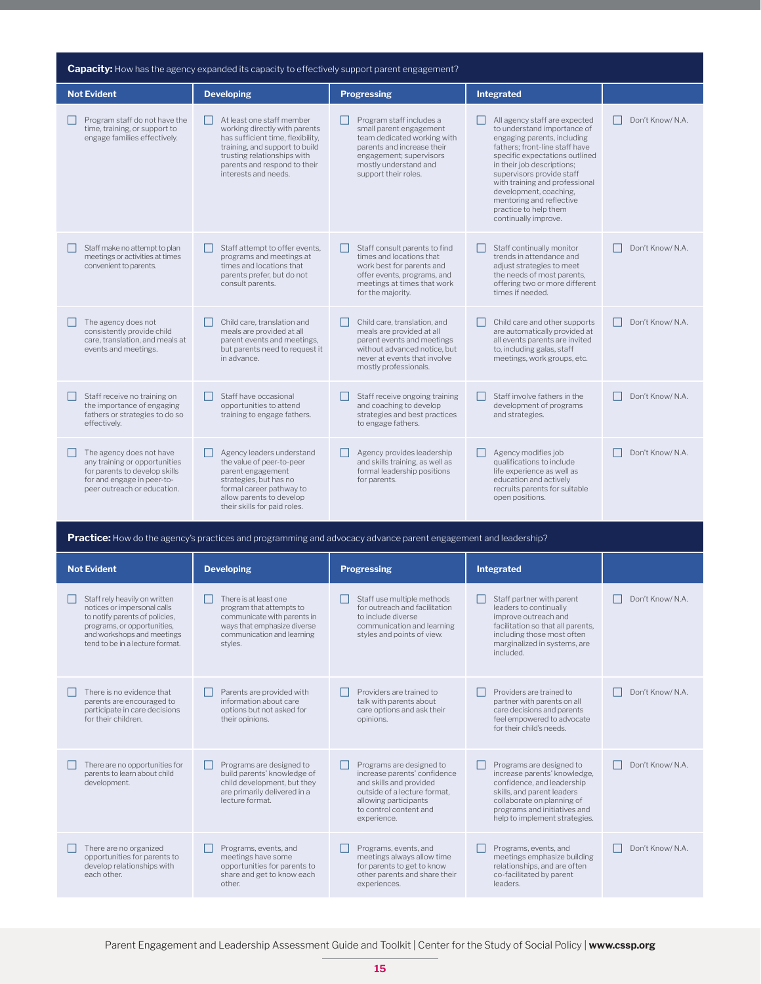| <b>Capacity:</b> How has the agency expanded its capacity to effectively support parent engagement?                                                     |                                                                                                                                                                                                                          |                                                                                                                                                                                              |                                                                                                                                                                                                                                                                                                                                                                     |                  |
|---------------------------------------------------------------------------------------------------------------------------------------------------------|--------------------------------------------------------------------------------------------------------------------------------------------------------------------------------------------------------------------------|----------------------------------------------------------------------------------------------------------------------------------------------------------------------------------------------|---------------------------------------------------------------------------------------------------------------------------------------------------------------------------------------------------------------------------------------------------------------------------------------------------------------------------------------------------------------------|------------------|
| <b>Not Evident</b>                                                                                                                                      | <b>Developing</b>                                                                                                                                                                                                        | <b>Progressing</b>                                                                                                                                                                           | Integrated                                                                                                                                                                                                                                                                                                                                                          |                  |
| Program staff do not have the<br>time, training, or support to<br>engage families effectively.                                                          | At least one staff member<br>working directly with parents<br>has sufficient time, flexibility,<br>training, and support to build<br>trusting relationships with<br>parents and respond to their<br>interests and needs. | Program staff includes a<br>small parent engagement<br>team dedicated working with<br>parents and increase their<br>engagement; supervisors<br>mostly understand and<br>support their roles. | All agency staff are expected<br>to understand importance of<br>engaging parents, including<br>fathers: front-line staff have<br>specific expectations outlined<br>in their job descriptions;<br>supervisors provide staff<br>with training and professional<br>development, coaching,<br>mentoring and reflective<br>practice to help them<br>continually improve. | Don't Know/ N.A. |
| Staff make no attempt to plan<br>meetings or activities at times<br>convenient to parents.                                                              | Staff attempt to offer events,<br>programs and meetings at<br>times and locations that<br>parents prefer, but do not<br>consult parents.                                                                                 | Staff consult parents to find<br>times and locations that<br>work best for parents and<br>offer events, programs, and<br>meetings at times that work<br>for the majority.                    | Staff continually monitor<br>trends in attendance and<br>adjust strategies to meet<br>the needs of most parents,<br>offering two or more different<br>times if needed.                                                                                                                                                                                              | Don't Know/ N.A. |
| The agency does not<br>consistently provide child<br>care, translation, and meals at<br>events and meetings.                                            | Child care, translation and<br>meals are provided at all<br>parent events and meetings,<br>but parents need to request it<br>in advance.                                                                                 | Child care, translation, and<br>meals are provided at all<br>parent events and meetings<br>without advanced notice, but<br>never at events that involve<br>mostly professionals.             | Child care and other supports<br>are automatically provided at<br>all events parents are invited<br>to, including galas, staff<br>meetings, work groups, etc.                                                                                                                                                                                                       | Don't Know/ N.A. |
| Staff receive no training on<br>the importance of engaging<br>fathers or strategies to do so<br>effectively.                                            | Staff have occasional<br>opportunities to attend<br>training to engage fathers.                                                                                                                                          | Staff receive ongoing training<br>and coaching to develop<br>strategies and best practices<br>to engage fathers.                                                                             | Staff involve fathers in the<br>development of programs<br>and strategies.                                                                                                                                                                                                                                                                                          | Don't Know/ N.A. |
| The agency does not have<br>any training or opportunities<br>for parents to develop skills<br>for and engage in peer-to-<br>peer outreach or education. | Agency leaders understand<br>the value of peer-to-peer<br>parent engagement<br>strategies, but has no<br>formal career pathway to<br>allow parents to develop<br>their skills for paid roles.                            | Agency provides leadership<br>and skills training, as well as<br>formal leadership positions<br>for parents.                                                                                 | Agency modifies job<br>qualifications to include<br>life experience as well as<br>education and actively<br>recruits parents for suitable<br>open positions.                                                                                                                                                                                                        | Don't Know/ N.A. |

**Practice:** How do the agency's practices and programming and advocacy advance parent engagement and leadership?

| <b>Not Evident</b>                                                                                                                                                                             | <b>Developing</b>                                                                                                                                        | <b>Progressing</b>                                                                                                                                                                    | Integrated                                                                                                                                                                                                          |                  |
|------------------------------------------------------------------------------------------------------------------------------------------------------------------------------------------------|----------------------------------------------------------------------------------------------------------------------------------------------------------|---------------------------------------------------------------------------------------------------------------------------------------------------------------------------------------|---------------------------------------------------------------------------------------------------------------------------------------------------------------------------------------------------------------------|------------------|
| Staff rely heavily on written<br>notices or impersonal calls<br>to notify parents of policies,<br>programs, or opportunities,<br>and workshops and meetings<br>tend to be in a lecture format. | There is at least one<br>program that attempts to<br>communicate with parents in<br>ways that emphasize diverse<br>communication and learning<br>styles. | Staff use multiple methods<br>for outreach and facilitation<br>to include diverse<br>communication and learning<br>styles and points of view.                                         | Staff partner with parent<br>leaders to continually<br>improve outreach and<br>facilitation so that all parents,<br>including those most often<br>marginalized in systems, are<br>included.                         | Don't Know/ N.A. |
| There is no evidence that<br>parents are encouraged to<br>participate in care decisions<br>for their children                                                                                  | Parents are provided with<br>information about care<br>options but not asked for<br>their opinions.                                                      | Providers are trained to<br>talk with parents about<br>care options and ask their<br>opinions.                                                                                        | Providers are trained to<br>partner with parents on all<br>care decisions and parents<br>feel empowered to advocate<br>for their child's needs.                                                                     | Don't Know/ N.A. |
| There are no opportunities for<br>parents to learn about child<br>development.                                                                                                                 | Programs are designed to<br>build parents' knowledge of<br>child development, but they<br>are primarily delivered in a<br>lecture format.                | Programs are designed to<br>increase parents' confidence<br>and skills and provided<br>outside of a lecture format.<br>allowing participants<br>to control content and<br>experience. | Programs are designed to<br>increase parents' knowledge,<br>confidence, and leadership<br>skills, and parent leaders<br>collaborate on planning of<br>programs and initiatives and<br>help to implement strategies. | Don't Know/ N.A. |
| There are no organized<br>opportunities for parents to<br>develop relationships with<br>each other.                                                                                            | Programs, events, and<br>meetings have some<br>opportunities for parents to<br>share and get to know each<br>other.                                      | Programs, events, and<br>meetings always allow time<br>for parents to get to know<br>other parents and share their<br>experiences.                                                    | Programs, events, and<br>meetings emphasize building<br>relationships, and are often<br>co-facilitated by parent<br>leaders.                                                                                        | Don't Know/ N.A. |

Parent Engagement and Leadership Assessment Guide and Toolkit | Center for the Study of Social Policy | **www.cssp.org**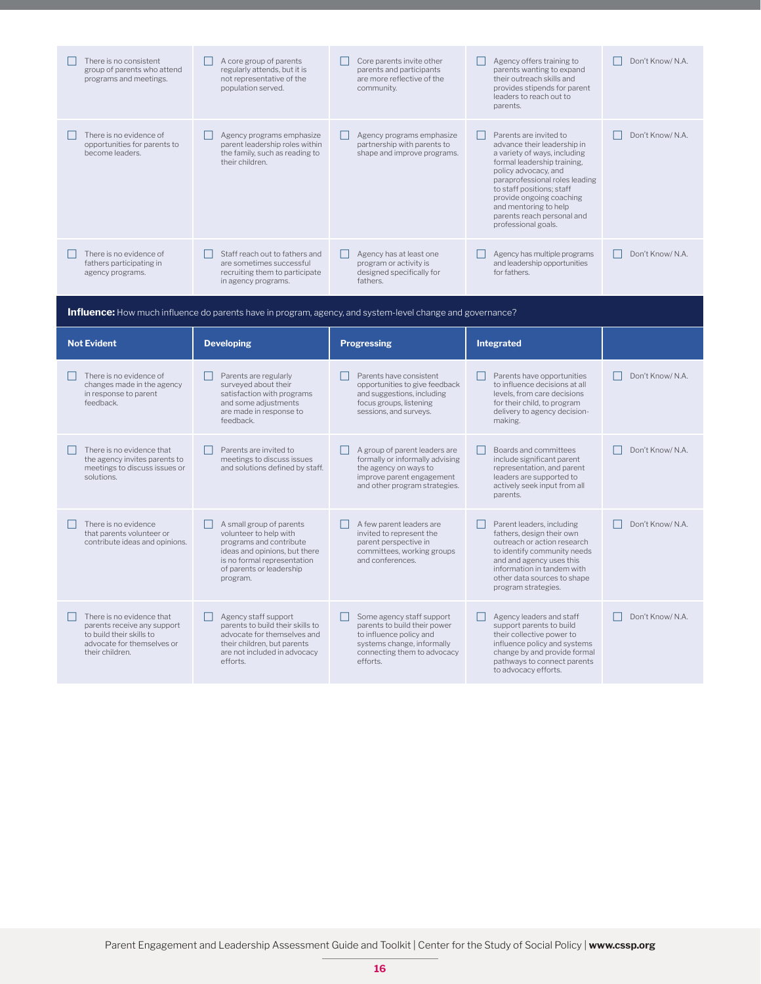| There is no consistent<br>group of parents who attend<br>programs and meetings.                           | A core group of parents<br>regularly attends, but it is<br>not representative of the<br>population served.                                                                            | Core parents invite other<br>parents and participants<br>are more reflective of the<br>community.                                                            | Agency offers training to<br>parents wanting to expand<br>their outreach skills and<br>provides stipends for parent<br>leaders to reach out to<br>parents.                                                                                                                                                                 | Don't Know/ N.A.       |
|-----------------------------------------------------------------------------------------------------------|---------------------------------------------------------------------------------------------------------------------------------------------------------------------------------------|--------------------------------------------------------------------------------------------------------------------------------------------------------------|----------------------------------------------------------------------------------------------------------------------------------------------------------------------------------------------------------------------------------------------------------------------------------------------------------------------------|------------------------|
| There is no evidence of<br>opportunities for parents to<br>become leaders.                                | Agency programs emphasize<br>parent leadership roles within<br>the family, such as reading to<br>their children.                                                                      | Agency programs emphasize<br>П<br>partnership with parents to<br>shape and improve programs.                                                                 | Parents are invited to<br>П<br>advance their leadership in<br>a variety of ways, including<br>formal leadership training.<br>policy advocacy, and<br>paraprofessional roles leading<br>to staff positions; staff<br>provide ongoing coaching<br>and mentoring to help<br>parents reach personal and<br>professional goals. | Don't Know/N.A.        |
| There is no evidence of<br>fathers participating in<br>agency programs.                                   | Staff reach out to fathers and<br>are sometimes successful<br>recruiting them to participate<br>in agency programs.                                                                   | Agency has at least one<br>$\Box$<br>program or activity is<br>designed specifically for<br>fathers.                                                         | Agency has multiple programs<br>and leadership opportunities<br>for fathers.                                                                                                                                                                                                                                               | Don't Know/ N.A.<br>FТ |
|                                                                                                           | <b>Influence:</b> How much influence do parents have in program, agency, and system-level change and governance?                                                                      |                                                                                                                                                              |                                                                                                                                                                                                                                                                                                                            |                        |
| <b>Not Evident</b>                                                                                        | <b>Developing</b>                                                                                                                                                                     | <b>Progressing</b>                                                                                                                                           | <b>Integrated</b>                                                                                                                                                                                                                                                                                                          |                        |
|                                                                                                           |                                                                                                                                                                                       |                                                                                                                                                              |                                                                                                                                                                                                                                                                                                                            |                        |
| There is no evidence of<br>changes made in the agency<br>in response to parent<br>feedback.               | Parents are regularly<br>surveyed about their<br>satisfaction with programs<br>and some adjustments<br>are made in response to<br>feedback.                                           | Parents have consistent<br>opportunities to give feedback<br>and suggestions, including<br>focus groups, listening<br>sessions, and surveys.                 | Parents have opportunities<br>to influence decisions at all<br>levels, from care decisions<br>for their child, to program<br>delivery to agency decision-<br>making.                                                                                                                                                       | Don't Know/ N.A.       |
| There is no evidence that<br>the agency invites parents to<br>meetings to discuss issues or<br>solutions. | Parents are invited to<br>meetings to discuss issues<br>and solutions defined by staff.                                                                                               | П<br>A group of parent leaders are<br>formally or informally advising<br>the agency on ways to<br>improve parent engagement<br>and other program strategies. | П<br>Boards and committees<br>include significant parent<br>representation, and parent<br>leaders are supported to<br>actively seek input from all<br>parents.                                                                                                                                                             | Don't Know/ N.A.       |
| There is no evidence<br>that parents volunteer or<br>contribute ideas and opinions.                       | A small group of parents<br>volunteer to help with<br>programs and contribute<br>ideas and opinions, but there<br>is no formal representation<br>of parents or leadership<br>program. | A few parent leaders are<br>invited to represent the<br>parent perspective in<br>committees, working groups<br>and conferences.                              | Parent leaders, including<br>fathers, design their own<br>outreach or action research<br>to identify community needs<br>and and agency uses this<br>information in tandem with<br>other data sources to shape<br>program strategies.                                                                                       | Don't Know/ N.A.       |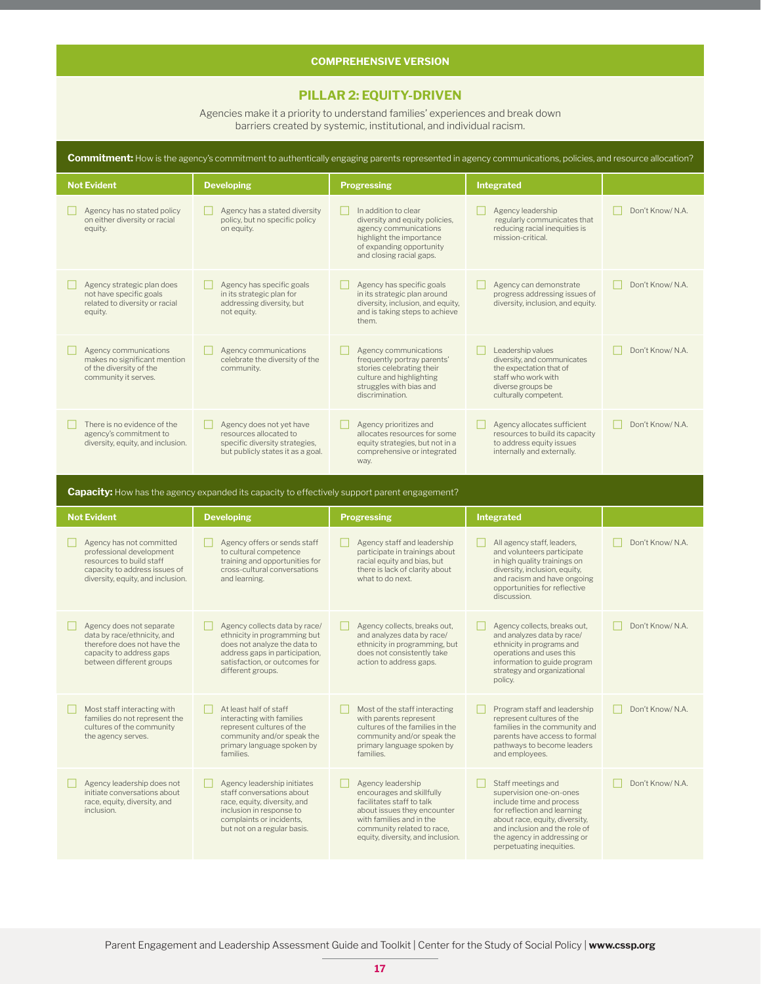#### **COMPREHENSIVE VERSION**

#### **PILLAR 2: EQUITY-DRIVEN**

Agencies make it a priority to understand families' experiences and break down barriers created by systemic, institutional, and individual racism.

| <b>Commitment:</b> How is the agency's commitment to authentically engaging parents represented in agency communications, policies, and resource allocation? |                                                                                                                                                                                       |                                                                                                                                                                     |                                                                                                                                                                                                         |                  |
|--------------------------------------------------------------------------------------------------------------------------------------------------------------|---------------------------------------------------------------------------------------------------------------------------------------------------------------------------------------|---------------------------------------------------------------------------------------------------------------------------------------------------------------------|---------------------------------------------------------------------------------------------------------------------------------------------------------------------------------------------------------|------------------|
| <b>Not Evident</b>                                                                                                                                           | <b>Developing</b>                                                                                                                                                                     | <b>Progressing</b>                                                                                                                                                  | <b>Integrated</b>                                                                                                                                                                                       |                  |
| Agency has no stated policy<br>on either diversity or racial<br>equity.                                                                                      | Agency has a stated diversity<br>policy, but no specific policy<br>on equity.                                                                                                         | In addition to clear<br>diversity and equity policies,<br>agency communications<br>highlight the importance<br>of expanding opportunity<br>and closing racial gaps. | Agency leadership<br>regularly communicates that<br>reducing racial inequities is<br>mission-critical.                                                                                                  | Don't Know/N.A.  |
| Agency strategic plan does<br>not have specific goals<br>related to diversity or racial<br>equity.                                                           | Agency has specific goals<br>in its strategic plan for<br>addressing diversity, but<br>not equity.                                                                                    | Agency has specific goals<br>in its strategic plan around<br>diversity, inclusion, and equity,<br>and is taking steps to achieve<br>them.                           | Agency can demonstrate<br>progress addressing issues of<br>diversity, inclusion, and equity.                                                                                                            | Don't Know/ N.A. |
| Agency communications<br>makes no significant mention<br>of the diversity of the<br>community it serves.                                                     | Agency communications<br>celebrate the diversity of the<br>community.                                                                                                                 | Agency communications<br>frequently portray parents'<br>stories celebrating their<br>culture and highlighting<br>struggles with bias and<br>discrimination.         | Leadership values<br>diversity, and communicates<br>the expectation that of<br>staff who work with<br>diverse groups be<br>culturally competent.                                                        | Don't Know/ N.A. |
| There is no evidence of the<br>agency's commitment to<br>diversity, equity, and inclusion.                                                                   | Agency does not yet have<br>resources allocated to<br>specific diversity strategies,<br>but publicly states it as a goal.                                                             | Agency prioritizes and<br>allocates resources for some<br>equity strategies, but not in a<br>comprehensive or integrated<br>way.                                    | Agency allocates sufficient<br>resources to build its capacity<br>to address equity issues<br>internally and externally.                                                                                | Don't Know/ N.A. |
|                                                                                                                                                              | <b>Capacity:</b> How has the agency expanded its capacity to effectively support parent engagement?                                                                                   |                                                                                                                                                                     |                                                                                                                                                                                                         |                  |
|                                                                                                                                                              |                                                                                                                                                                                       |                                                                                                                                                                     |                                                                                                                                                                                                         |                  |
| <b>Not Evident</b>                                                                                                                                           | <b>Developing</b>                                                                                                                                                                     | <b>Progressing</b>                                                                                                                                                  | <b>Integrated</b>                                                                                                                                                                                       |                  |
| Agency has not committed<br>professional development<br>resources to build staff<br>capacity to address issues of<br>diversity, equity, and inclusion.       | Agency offers or sends staff<br>to cultural competence<br>training and opportunities for<br>cross-cultural conversations<br>and learning.                                             | Agency staff and leadership<br>participate in trainings about<br>racial equity and bias, but<br>there is lack of clarity about<br>what to do next.                  | All agency staff, leaders,<br>and volunteers participate<br>in high quality trainings on<br>diversity, inclusion, equity,<br>and racism and have ongoing<br>opportunities for reflective<br>discussion. | Don't Know/N.A.  |
| Agency does not separate<br>data by race/ethnicity, and<br>therefore does not have the<br>capacity to address gaps<br>between different groups               | Agency collects data by race/<br>ethnicity in programming but<br>does not analyze the data to<br>address gaps in participation,<br>satisfaction, or outcomes for<br>different groups. | Agency collects, breaks out,<br>and analyzes data by race/<br>ethnicity in programming, but<br>does not consistently take<br>action to address gaps.                | Agency collects, breaks out,<br>and analyzes data by race/<br>ethnicity in programs and<br>operations and uses this<br>information to guide program<br>strategy and organizational<br>policy.           | Don't Know/ N.A. |
| Most staff interacting with<br>families do not represent the<br>cultures of the community<br>the agency serves.                                              | At least half of staff<br>interacting with families<br>represent cultures of the<br>community and/or speak the<br>primary language spoken by<br>families.                             | Most of the staff interacting<br>with parents represent<br>cultures of the families in the<br>community and/or speak the<br>primary language spoken by<br>families. | Program staff and leadership<br>represent cultures of the<br>families in the community and<br>parents have access to formal<br>pathways to become leaders<br>and employees.                             | Don't Know/ N.A. |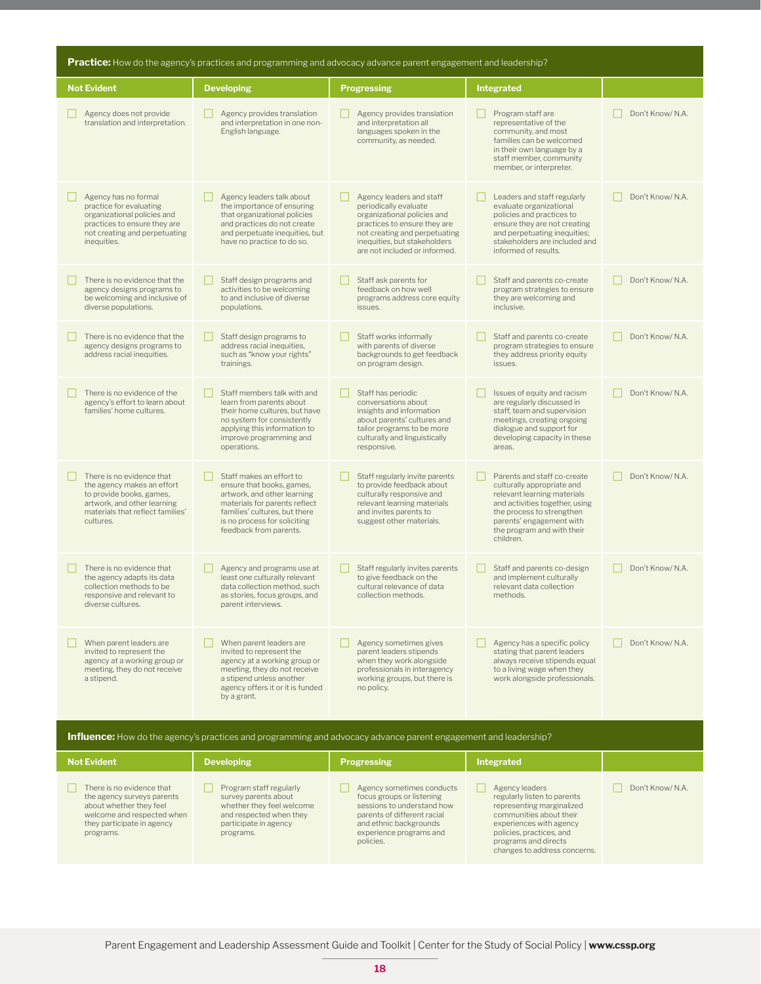| <b>Practice:</b> How do the agency's practices and programming and advocacy advance parent engagement and leadership?                                               |                                                                                                                                                                                                                  |                                                                                                                                                                                                                    |                                                                                                                                                                                                                                |                  |
|---------------------------------------------------------------------------------------------------------------------------------------------------------------------|------------------------------------------------------------------------------------------------------------------------------------------------------------------------------------------------------------------|--------------------------------------------------------------------------------------------------------------------------------------------------------------------------------------------------------------------|--------------------------------------------------------------------------------------------------------------------------------------------------------------------------------------------------------------------------------|------------------|
| <b>Not Evident</b>                                                                                                                                                  | <b>Developing</b>                                                                                                                                                                                                | <b>Progressing</b>                                                                                                                                                                                                 | Integrated                                                                                                                                                                                                                     |                  |
| Agency does not provide<br>translation and interpretation.                                                                                                          | Agency provides translation<br>and interpretation in one non-<br>English language.                                                                                                                               | Agency provides translation<br>and interpretation all<br>languages spoken in the<br>community, as needed.                                                                                                          | Program staff are<br>representative of the<br>community, and most<br>families can be welcomed<br>in their own language by a<br>staff member, community<br>member, or interpreter.                                              | Don't Know/ N.A. |
| Agency has no formal<br>practice for evaluating<br>organizational policies and<br>practices to ensure they are<br>not creating and perpetuating<br>inequities.      | Agency leaders talk about<br>the importance of ensuring<br>that organizational policies<br>and practices do not create<br>and perpetuate inequities, but<br>have no practice to do so.                           | Agency leaders and staff<br>periodically evaluate<br>organizational policies and<br>practices to ensure they are<br>not creating and perpetuating<br>inequities, but stakeholders<br>are not included or informed. | Leaders and staff regularly<br>evaluate organizational<br>policies and practices to<br>ensure they are not creating<br>and perpetuating inequities;<br>stakeholders are included and<br>informed of results.                   | Don't Know/ N.A. |
| There is no evidence that the<br>agency designs programs to<br>be welcoming and inclusive of<br>diverse populations.                                                | Staff design programs and<br>activities to be welcoming<br>to and inclusive of diverse<br>populations.                                                                                                           | Staff ask parents for<br>feedback on how well<br>programs address core equity<br>issues.                                                                                                                           | Staff and parents co-create<br>program strategies to ensure<br>they are welcoming and<br>inclusive.                                                                                                                            | Don't Know/ N.A. |
| There is no evidence that the<br>agency designs programs to<br>address racial inequities.                                                                           | Staff design programs to<br>address racial inequities,<br>such as "know your rights"<br>trainings.                                                                                                               | Staff works informally<br>with parents of diverse<br>backgrounds to get feedback<br>on program design.                                                                                                             | Staff and parents co-create<br>program strategies to ensure<br>they address priority equity<br>issues.                                                                                                                         | Don't Know/ N.A. |
| There is no evidence of the<br>agency's effort to learn about<br>families' home cultures.                                                                           | Staff members talk with and<br>learn from parents about<br>their home cultures, but have<br>no system for consistently<br>applying this information to<br>improve programming and<br>operations.                 | Staff has periodic<br>conversations about<br>insights and information<br>about parents' cultures and<br>tailor programs to be more<br>culturally and linguistically<br>responsive.                                 | Issues of equity and racism<br>are regularly discussed in<br>staff, team and supervision<br>meetings, creating ongoing<br>dialogue and support for<br>developing capacity in these<br>areas.                                   | Don't Know/ N.A. |
| There is no evidence that<br>the agency makes an effort<br>to provide books, games,<br>artwork, and other learning<br>materials that reflect families'<br>cultures. | Staff makes an effort to<br>ensure that books, games,<br>artwork, and other learning<br>materials for parents reflect<br>families' cultures, but there<br>is no process for soliciting<br>feedback from parents. | Staff regularly invite parents<br>to provide feedback about<br>culturally responsive and<br>relevant learning materials<br>and invites parents to<br>suggest other materials.                                      | Parents and staff co-create<br>culturally appropriate and<br>relevant learning materials<br>and activities together, using<br>the process to strengthen<br>parents' engagement with<br>the program and with their<br>children. | Don't Know/ N.A. |
| There is no evidence that<br>the agency adapts its data<br>collection methods to be<br>responsive and relevant to<br>diverse cultures.                              | Agency and programs use at<br>least one culturally relevant<br>data collection method, such<br>as stories, focus groups, and<br>parent interviews.                                                               | Staff regularly invites parents<br>to give feedback on the<br>cultural relevance of data<br>collection methods.                                                                                                    | Staff and parents co-design<br>and implement culturally<br>relevant data collection<br>methods.                                                                                                                                | Don't Know/ N.A. |
| When parent leaders are<br>invited to represent the<br>agency at a working group or<br>meeting, they do not receive<br>a stipend.                                   | When parent leaders are<br>invited to represent the<br>agency at a working group or<br>meeting, they do not receive<br>a stipend unless another<br>agency offers it or it is funded<br>by a grant.               | Agency sometimes gives<br>parent leaders stipends<br>when they work alongside<br>professionals in interagency<br>working groups, but there is<br>no policy.                                                        | Agency has a specific policy<br>stating that parent leaders<br>always receive stipends equal<br>to a living wage when they<br>work alongside professionals.                                                                    | Don't Know/ N.A. |
|                                                                                                                                                                     | <b>Influence:</b> How do the agency's practices and programming and advocacy advance parent engagement and leadership?                                                                                           |                                                                                                                                                                                                                    |                                                                                                                                                                                                                                |                  |
| <b>Not Evident</b>                                                                                                                                                  | <b>Developing</b>                                                                                                                                                                                                | <b>Progressing</b>                                                                                                                                                                                                 | Integrated                                                                                                                                                                                                                     |                  |
| There is no evidence that<br>the agency surveys parents<br>about whether they feel<br>welcome and respected when<br>they participate in agency<br>programs.         | Program staff regularly<br>survey parents about<br>whether they feel welcome<br>and respected when they<br>participate in agency<br>programs.                                                                    | Agency sometimes conducts<br>focus groups or listening<br>sessions to understand how<br>parents of different racial<br>and ethnic backgrounds<br>experience programs and<br>policies.                              | Agency leaders<br>regularly listen to parents<br>representing marginalized<br>communities about their<br>experiences with agency<br>policies, practices, and<br>programs and directs<br>changes to address concerns.           | Don't Know/ N.A. |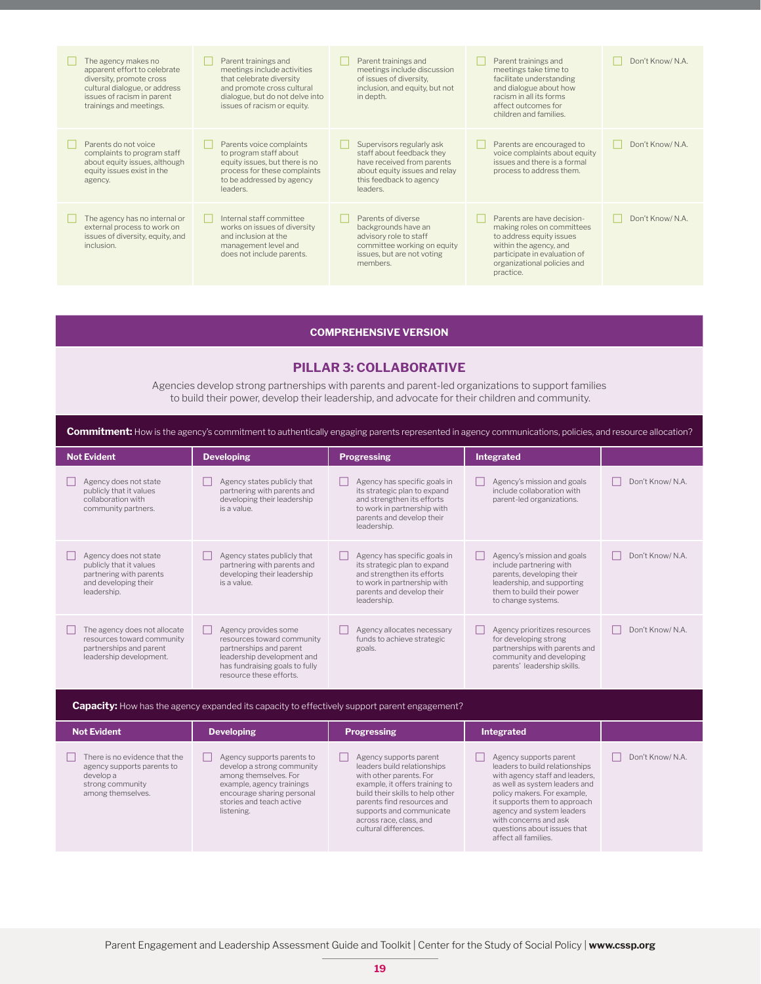| The agency makes no<br>apparent effort to celebrate<br>diversity, promote cross<br>cultural dialogue, or address<br>issues of racism in parent<br>trainings and meetings. | Parent trainings and<br>meetings include activities<br>that celebrate diversity<br>and promote cross cultural<br>dialogue, but do not delve into<br>issues of racism or equity. | Parent trainings and<br>meetings include discussion<br>of issues of diversity.<br>inclusion, and equity, but not<br>in depth.                                | Parent trainings and<br>meetings take time to<br>facilitate understanding<br>and dialogue about how<br>racism in all its forms<br>affect outcomes for<br>children and families.            | Don't Know/ N.A. |
|---------------------------------------------------------------------------------------------------------------------------------------------------------------------------|---------------------------------------------------------------------------------------------------------------------------------------------------------------------------------|--------------------------------------------------------------------------------------------------------------------------------------------------------------|--------------------------------------------------------------------------------------------------------------------------------------------------------------------------------------------|------------------|
| Parents do not voice<br>complaints to program staff<br>about equity issues, although<br>equity issues exist in the<br>agency.                                             | Parents voice complaints<br>to program staff about<br>equity issues, but there is no<br>process for these complaints<br>to be addressed by agency<br>leaders.                   | Supervisors regularly ask<br>staff about feedback they<br>have received from parents<br>about equity issues and relay<br>this feedback to agency<br>leaders. | Parents are encouraged to<br>voice complaints about equity<br>issues and there is a formal<br>process to address them.                                                                     | Don't Know/ N.A. |
| The agency has no internal or<br>external process to work on<br>issues of diversity, equity, and<br>inclusion.                                                            | Internal staff committee<br>works on issues of diversity<br>and inclusion at the<br>management level and<br>does not include parents.                                           | Parents of diverse<br>backgrounds have an<br>advisory role to staff<br>committee working on equity<br>issues, but are not voting<br>members.                 | Parents are have decision-<br>making roles on committees<br>to address equity issues<br>within the agency, and<br>participate in evaluation of<br>organizational policies and<br>practice. | Don't Know/ N.A. |

#### **COMPREHENSIVE VERSION**

#### **PILLAR 3: COLLABORATIVE**

Agencies develop strong partnerships with parents and parent-led organizations to support families to build their power, develop their leadership, and advocate for their children and community.

| <b>Not Evident</b>                                                                                                 | <b>Developing</b>                                                                                                                                                                      | <b>Progressing</b>                                                                                                                                                                                                                                                   | Integrated                                                                                                                                                                                                                                                                                              |                  |
|--------------------------------------------------------------------------------------------------------------------|----------------------------------------------------------------------------------------------------------------------------------------------------------------------------------------|----------------------------------------------------------------------------------------------------------------------------------------------------------------------------------------------------------------------------------------------------------------------|---------------------------------------------------------------------------------------------------------------------------------------------------------------------------------------------------------------------------------------------------------------------------------------------------------|------------------|
| Agency does not state<br>publicly that it values<br>collaboration with<br>community partners.                      | Agency states publicly that<br>partnering with parents and<br>developing their leadership<br>is a value.                                                                               | Agency has specific goals in<br>its strategic plan to expand<br>and strengthen its efforts<br>to work in partnership with<br>parents and develop their<br>leadership.                                                                                                | Agency's mission and goals<br>include collaboration with<br>parent-led organizations.                                                                                                                                                                                                                   | Don't Know/ N.A. |
| Agency does not state<br>publicly that it values<br>partnering with parents<br>and developing their<br>leadership. | Agency states publicly that<br>partnering with parents and<br>developing their leadership<br>is a value.                                                                               | Agency has specific goals in<br>its strategic plan to expand<br>and strengthen its efforts<br>to work in partnership with<br>parents and develop their<br>leadership.                                                                                                | Agency's mission and goals<br>include partnering with<br>parents, developing their<br>leadership, and supporting<br>them to build their power<br>to change systems.                                                                                                                                     | Don't Know/ N.A. |
| The agency does not allocate<br>resources toward community<br>partnerships and parent<br>leadership development.   | Agency provides some<br>resources toward community<br>partnerships and parent<br>leadership development and<br>has fundraising goals to fully<br>resource these efforts.               | Agency allocates necessary<br>funds to achieve strategic<br>goals.                                                                                                                                                                                                   | Agency prioritizes resources<br>for developing strong<br>partnerships with parents and<br>community and developing<br>parents' leadership skills.                                                                                                                                                       | Don't Know/ N.A. |
|                                                                                                                    | <b>Capacity:</b> How has the agency expanded its capacity to effectively support parent engagement?                                                                                    |                                                                                                                                                                                                                                                                      |                                                                                                                                                                                                                                                                                                         |                  |
| <b>Not Evident</b>                                                                                                 | <b>Developing</b>                                                                                                                                                                      | <b>Progressing</b>                                                                                                                                                                                                                                                   | Integrated                                                                                                                                                                                                                                                                                              |                  |
| There is no evidence that the<br>agency supports parents to<br>develop a<br>strong community<br>among themselves.  | Agency supports parents to<br>develop a strong community<br>among themselves. For<br>example, agency trainings<br>encourage sharing personal<br>stories and teach active<br>listening. | Agency supports parent<br>leaders build relationships<br>with other parents. For<br>example, it offers training to<br>build their skills to help other<br>parents find resources and<br>supports and communicate<br>across race, class, and<br>cultural differences. | Agency supports parent<br>leaders to build relationships<br>with agency staff and leaders,<br>as well as system leaders and<br>policy makers. For example,<br>it supports them to approach<br>agency and system leaders<br>with concerns and ask<br>questions about issues that<br>affect all families. | Don't Know/ N.A. |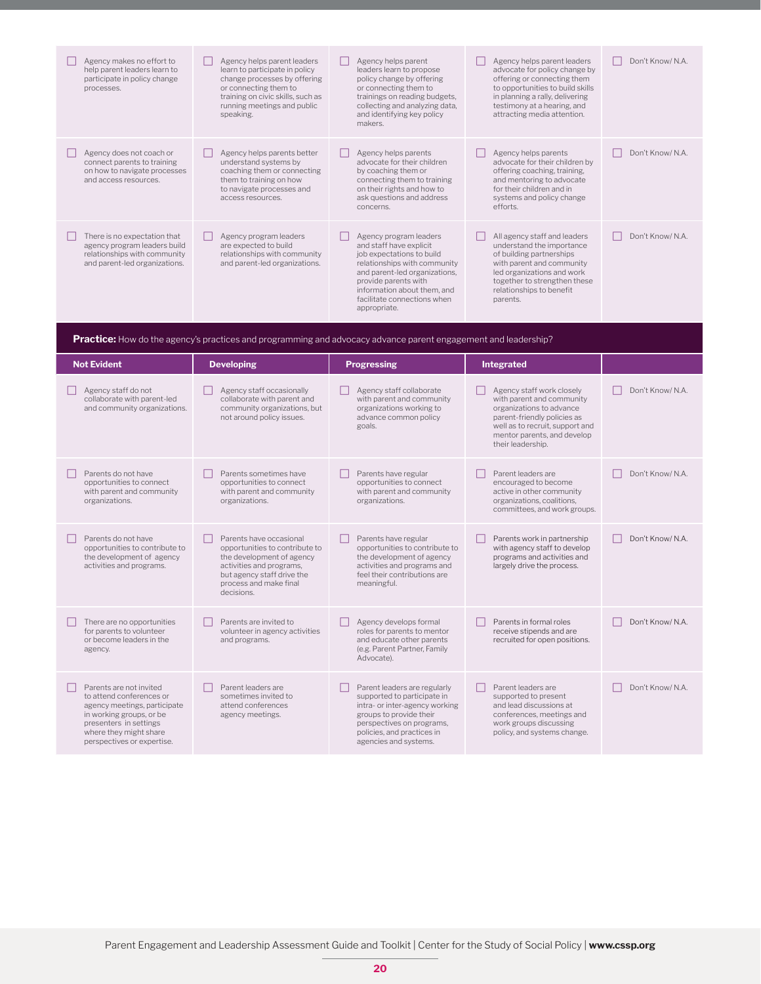| Agency makes no effort to<br>help parent leaders learn to<br>participate in policy change<br>processes.                       | Agency helps parent leaders<br>learn to participate in policy<br>change processes by offering<br>or connecting them to<br>training on civic skills, such as<br>running meetings and public<br>speaking. | Agency helps parent<br>leaders learn to propose<br>policy change by offering<br>or connecting them to<br>trainings on reading budgets,<br>collecting and analyzing data,<br>and identifying key policy<br>makers.                                     | Agency helps parent leaders<br>advocate for policy change by<br>offering or connecting them<br>to opportunities to build skills<br>in planning a rally, delivering<br>testimony at a hearing, and<br>attracting media attention. | Don't Know/ N.A.              |  |  |
|-------------------------------------------------------------------------------------------------------------------------------|---------------------------------------------------------------------------------------------------------------------------------------------------------------------------------------------------------|-------------------------------------------------------------------------------------------------------------------------------------------------------------------------------------------------------------------------------------------------------|----------------------------------------------------------------------------------------------------------------------------------------------------------------------------------------------------------------------------------|-------------------------------|--|--|
| Agency does not coach or<br>connect parents to training<br>on how to navigate processes<br>and access resources.              | Agency helps parents better<br>understand systems by<br>coaching them or connecting<br>them to training on how<br>to navigate processes and<br>access resources.                                        | Agency helps parents<br>advocate for their children<br>by coaching them or<br>connecting them to training<br>on their rights and how to<br>ask questions and address<br>concerns.                                                                     | Agency helps parents<br>advocate for their children by<br>offering coaching, training,<br>and mentoring to advocate<br>for their children and in<br>systems and policy change<br>efforts.                                        | Don't Know/ N.A.              |  |  |
| There is no expectation that<br>agency program leaders build<br>relationships with community<br>and parent-led organizations. | Agency program leaders<br>are expected to build<br>relationships with community<br>and parent-led organizations.                                                                                        | Agency program leaders<br>and staff have explicit<br>job expectations to build<br>relationships with community<br>and parent-led organizations,<br>provide parents with<br>information about them, and<br>facilitate connections when<br>appropriate. | All agency staff and leaders<br>understand the importance<br>of building partnerships<br>with parent and community<br>led organizations and work<br>together to strengthen these<br>relationships to benefit<br>parents.         | Don't Know/N.A.               |  |  |
|                                                                                                                               | <b>Practice:</b> How do the agency's practices and programming and advocacy advance parent engagement and leadership?                                                                                   |                                                                                                                                                                                                                                                       |                                                                                                                                                                                                                                  |                               |  |  |
| <b>Not Evident</b>                                                                                                            | <b>Developing</b>                                                                                                                                                                                       | <b>Progressing</b>                                                                                                                                                                                                                                    | Integrated                                                                                                                                                                                                                       |                               |  |  |
| $\Box$ A conservation of the second                                                                                           | <b>The American stage consistencies</b>                                                                                                                                                                 | $\Box$ A second constant control constant                                                                                                                                                                                                             | <b>The American students and all states</b>                                                                                                                                                                                      | $D = -1 + 1 - - - -1 + 1 - 0$ |  |  |

| Agency staff do not<br>collaborate with parent-led<br>and community organizations.                                                                                                                | Agency staff occasionally<br>collaborate with parent and<br>community organizations, but<br>not around policy issues.                                                                    | Agency staff collaborate<br>with parent and community<br>organizations working to<br>advance common policy<br>goals.                                                                                         | Agency staff work closely<br>with parent and community<br>organizations to advance<br>parent-friendly policies as<br>well as to recruit, support and<br>mentor parents, and develop<br>their leadership. | Don't Know/ N.A. |
|---------------------------------------------------------------------------------------------------------------------------------------------------------------------------------------------------|------------------------------------------------------------------------------------------------------------------------------------------------------------------------------------------|--------------------------------------------------------------------------------------------------------------------------------------------------------------------------------------------------------------|----------------------------------------------------------------------------------------------------------------------------------------------------------------------------------------------------------|------------------|
| Parents do not have<br>opportunities to connect<br>with parent and community<br>organizations.                                                                                                    | Parents sometimes have<br>opportunities to connect<br>with parent and community<br>organizations.                                                                                        | Parents have regular<br>opportunities to connect<br>with parent and community<br>organizations.                                                                                                              | Parent leaders are<br>encouraged to become<br>active in other community<br>organizations, coalitions,<br>committees, and work groups.                                                                    | Don't Know/ N.A. |
| Parents do not have<br>opportunities to contribute to<br>the development of agency<br>activities and programs.                                                                                    | Parents have occasional<br>opportunities to contribute to<br>the development of agency<br>activities and programs,<br>but agency staff drive the<br>process and make final<br>decisions. | Parents have regular<br>opportunities to contribute to<br>the development of agency<br>activities and programs and<br>feel their contributions are<br>meaningful.                                            | Parents work in partnership<br>with agency staff to develop<br>programs and activities and<br>largely drive the process.                                                                                 | Don't Know/ N.A. |
| There are no opportunities<br>for parents to volunteer<br>or become leaders in the<br>agency.                                                                                                     | Parents are invited to<br>volunteer in agency activities<br>and programs.                                                                                                                | Agency develops formal<br>roles for parents to mentor<br>and educate other parents<br>(e.g. Parent Partner, Family<br>Advocate).                                                                             | Parents in formal roles<br>receive stipends and are<br>recruited for open positions.                                                                                                                     | Don't Know/ N.A. |
| Parents are not invited<br>to attend conferences or<br>agency meetings, participate<br>in working groups, or be<br>presenters in settings<br>where they might share<br>perspectives or expertise. | Parent leaders are<br>sometimes invited to<br>attend conferences<br>agency meetings.                                                                                                     | Parent leaders are regularly<br>supported to participate in<br>intra- or inter-agency working<br>groups to provide their<br>perspectives on programs,<br>policies, and practices in<br>agencies and systems. | Parent leaders are<br>supported to present<br>and lead discussions at<br>conferences, meetings and<br>work groups discussing<br>policy, and systems change.                                              | Don't Know/N.A.  |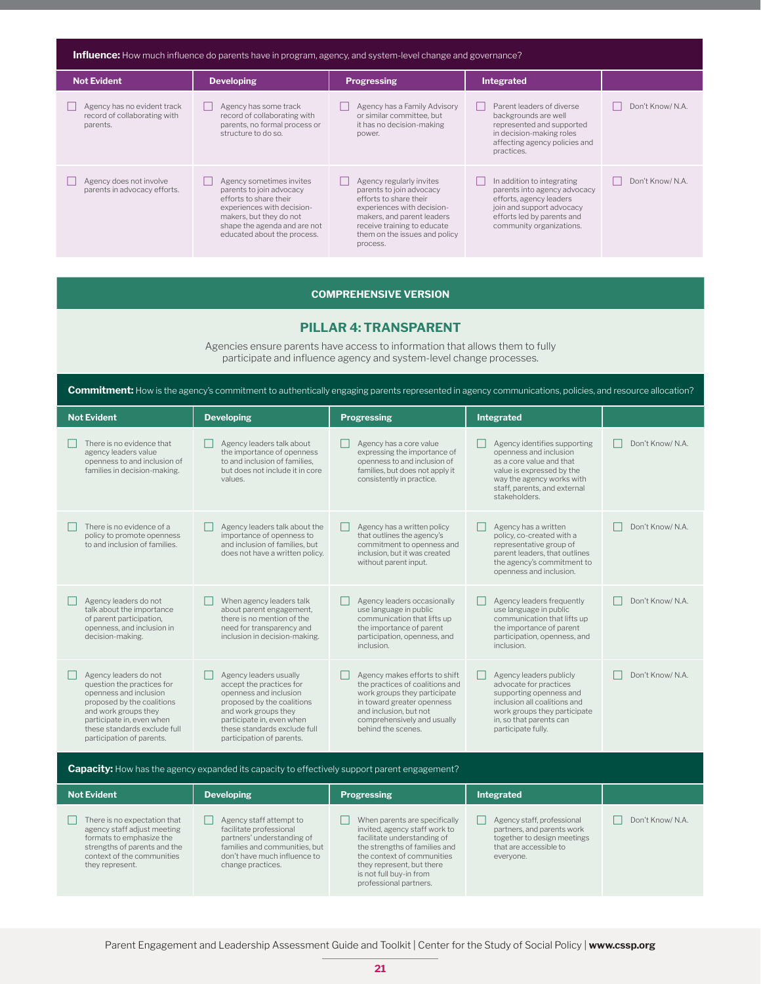| <b>Influence:</b> How much influence do parents have in program, agency, and system-level change and governance? |                                                                                                                                                                                                        |                                                                                                                                                                                                                        |                                                                                                                                                                              |                  |
|------------------------------------------------------------------------------------------------------------------|--------------------------------------------------------------------------------------------------------------------------------------------------------------------------------------------------------|------------------------------------------------------------------------------------------------------------------------------------------------------------------------------------------------------------------------|------------------------------------------------------------------------------------------------------------------------------------------------------------------------------|------------------|
| <b>Not Evident</b>                                                                                               | <b>Developing</b>                                                                                                                                                                                      | <b>Progressing</b>                                                                                                                                                                                                     | Integrated                                                                                                                                                                   |                  |
| Agency has no evident track<br>record of collaborating with<br>parents.                                          | Agency has some track<br>record of collaborating with<br>parents, no formal process or<br>structure to do so.                                                                                          | Agency has a Family Advisory<br>or similar committee, but<br>it has no decision-making<br>power.                                                                                                                       | Parent leaders of diverse<br>backgrounds are well<br>represented and supported<br>in decision-making roles<br>affecting agency policies and<br>practices.                    | Don't Know/ N.A. |
| Agency does not involve<br>parents in advocacy efforts.                                                          | Agency sometimes invites<br>parents to join advocacy<br>efforts to share their<br>experiences with decision-<br>makers, but they do not<br>shape the agenda and are not<br>educated about the process. | Agency regularly invites<br>parents to join advocacy<br>efforts to share their<br>experiences with decision-<br>makers, and parent leaders<br>receive training to educate<br>them on the issues and policy<br>process. | In addition to integrating<br>parents into agency advocacy<br>efforts, agency leaders<br>join and support advocacy<br>efforts led by parents and<br>community organizations. | Don't Know/ N.A. |

#### **COMPREHENSIVE VERSION**

#### **PILLAR 4: TRANSPARENT**

Agencies ensure parents have access to information that allows them to fully participate and influence agency and system-level change processes.

**Commitment:** How is the agency's commitment to authentically engaging parents represented in agency communications, policies, and resource allocation?

| <b>Not Evident</b>                                                                                                                                                                                                            | <b>Developing</b>                                                                                                                                                                                                            | <b>Progressing</b>                                                                                                                                                                                            | <b>Integrated</b>                                                                                                                                                                             |                  |
|-------------------------------------------------------------------------------------------------------------------------------------------------------------------------------------------------------------------------------|------------------------------------------------------------------------------------------------------------------------------------------------------------------------------------------------------------------------------|---------------------------------------------------------------------------------------------------------------------------------------------------------------------------------------------------------------|-----------------------------------------------------------------------------------------------------------------------------------------------------------------------------------------------|------------------|
| There is no evidence that<br>agency leaders value<br>openness to and inclusion of<br>families in decision-making.                                                                                                             | Agency leaders talk about<br>the importance of openness<br>to and inclusion of families,<br>but does not include it in core<br>values.                                                                                       | Agency has a core value<br>expressing the importance of<br>openness to and inclusion of<br>families, but does not apply it<br>consistently in practice.                                                       | Agency identifies supporting<br>openness and inclusion<br>as a core value and that<br>value is expressed by the<br>way the agency works with<br>staff, parents, and external<br>stakeholders. | Don't Know/ N.A. |
| There is no evidence of a<br>policy to promote openness<br>to and inclusion of families.                                                                                                                                      | Agency leaders talk about the<br>importance of openness to<br>and inclusion of families, but<br>does not have a written policy.                                                                                              | Agency has a written policy<br>that outlines the agency's<br>commitment to openness and<br>inclusion, but it was created<br>without parent input.                                                             | Agency has a written<br>policy, co-created with a<br>representative group of<br>parent leaders, that outlines<br>the agency's commitment to<br>openness and inclusion.                        | Don't Know/ N.A. |
| Agency leaders do not<br>talk about the importance<br>of parent participation,<br>openness, and inclusion in<br>decision-making.                                                                                              | When agency leaders talk<br>about parent engagement,<br>there is no mention of the<br>need for transparency and<br>inclusion in decision-making.                                                                             | Agency leaders occasionally<br>use language in public<br>communication that lifts up<br>the importance of parent<br>participation, openness, and<br>inclusion.                                                | Agency leaders frequently<br>use language in public<br>communication that lifts up<br>the importance of parent<br>participation, openness, and<br>inclusion.                                  | Don't Know/ N.A. |
| Agency leaders do not<br>question the practices for<br>openness and inclusion<br>proposed by the coalitions<br>and work groups they<br>participate in, even when<br>these standards exclude full<br>participation of parents. | Agency leaders usually<br>accept the practices for<br>openness and inclusion<br>proposed by the coalitions<br>and work groups they<br>participate in, even when<br>these standards exclude full<br>participation of parents. | Agency makes efforts to shift<br>the practices of coalitions and<br>work groups they participate<br>in toward greater openness<br>and inclusion, but not<br>comprehensively and usually<br>behind the scenes. | Agency leaders publicly<br>advocate for practices<br>supporting openness and<br>inclusion all coalitions and<br>work groups they participate<br>in, so that parents can<br>participate fully. | Don't Know/ N.A. |

Capacity: How has the agency expanded its capacity to effectively support parent engagement? **Not Evident CONSISTENT <b>Developing Progressing Progressing Integrated**  $\Box$  There is no expectation that agency staff adjust meeting formats to emphasize the strengths of parents and the context of the communities they represent.  $\Box$  Agency staff attempt to facilitate professional partners' understanding of families and communities, but don't have much influence to change practices.  $\Box$  When parents are specifically invited, agency staff work to facilitate understanding of the strengths of families and the context of communities they represent, but there is not full buy-in from professional partners.  $\Box$  Agency staff, professional partners, and parents work together to design meetings that are accessible to everyone. Don't Know/ N.A.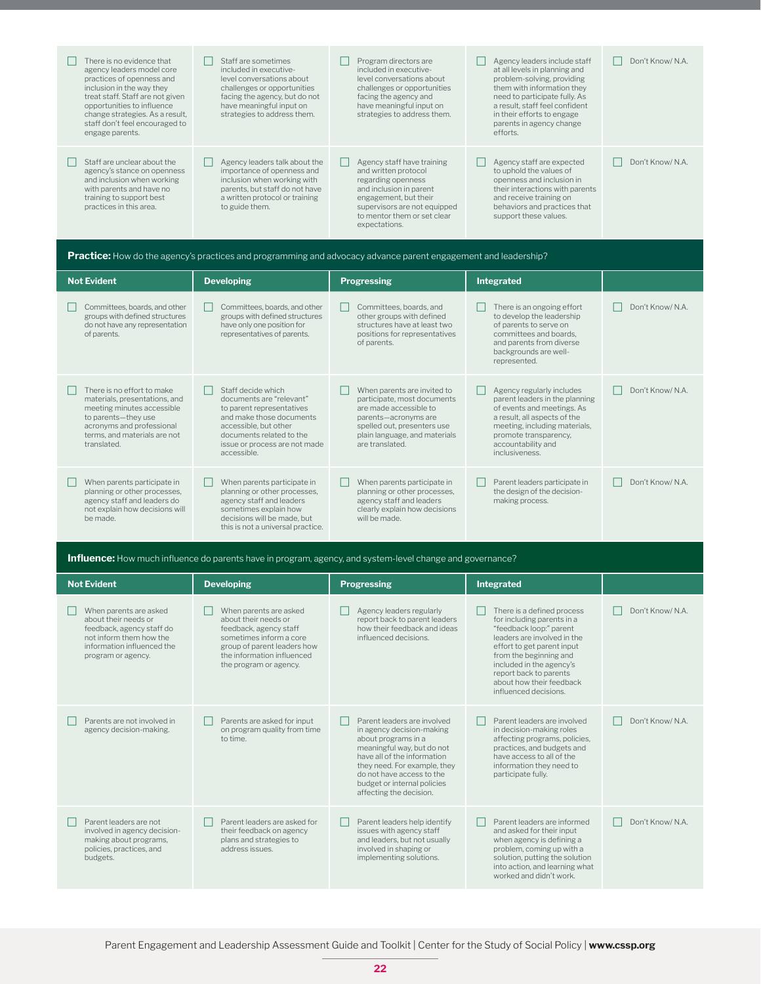| There is no evidence that<br>agency leaders model core<br>practices of openness and<br>inclusion in the way they<br>treat staff. Staff are not given<br>opportunities to influence<br>change strategies. As a result,<br>staff don't feel encouraged to<br>engage parents. | Staff are sometimes<br>included in executive-<br>level conversations about<br>challenges or opportunities<br>facing the agency, but do not<br>have meaningful input on<br>strategies to address them.             | Program directors are<br>included in executive-<br>level conversations about<br>challenges or opportunities<br>facing the agency and<br>have meaningful input on<br>strategies to address them.                        | Agency leaders include staff<br>at all levels in planning and<br>problem-solving, providing<br>them with information they<br>need to participate fully. As<br>a result, staff feel confident<br>in their efforts to engage<br>parents in agency change<br>efforts. | Don't Know/ N.A. |
|----------------------------------------------------------------------------------------------------------------------------------------------------------------------------------------------------------------------------------------------------------------------------|-------------------------------------------------------------------------------------------------------------------------------------------------------------------------------------------------------------------|------------------------------------------------------------------------------------------------------------------------------------------------------------------------------------------------------------------------|--------------------------------------------------------------------------------------------------------------------------------------------------------------------------------------------------------------------------------------------------------------------|------------------|
| Staff are unclear about the<br>agency's stance on openness<br>and inclusion when working<br>with parents and have no<br>training to support best<br>practices in this area.                                                                                                | Agency leaders talk about the<br>importance of openness and<br>inclusion when working with<br>parents, but staff do not have<br>a written protocol or training<br>to guide them.                                  | Agency staff have training<br>$\Box$<br>and written protocol<br>regarding openness<br>and inclusion in parent<br>engagement, but their<br>supervisors are not equipped<br>to mentor them or set clear<br>expectations. | Agency staff are expected<br>to uphold the values of<br>openness and inclusion in<br>their interactions with parents<br>and receive training on<br>behaviors and practices that<br>support these values.                                                           | Don't Know/ N.A. |
|                                                                                                                                                                                                                                                                            | <b>Practice:</b> How do the agency's practices and programming and advocacy advance parent engagement and leadership?                                                                                             |                                                                                                                                                                                                                        |                                                                                                                                                                                                                                                                    |                  |
| <b>Not Evident</b>                                                                                                                                                                                                                                                         | <b>Developing</b>                                                                                                                                                                                                 | <b>Progressing</b>                                                                                                                                                                                                     | <b>Integrated</b>                                                                                                                                                                                                                                                  |                  |
| Committees, boards, and other<br>groups with defined structures<br>do not have any representation<br>of parents.                                                                                                                                                           | Committees, boards, and other<br>groups with defined structures<br>have only one position for<br>representatives of parents.                                                                                      | Committees, boards, and<br>other groups with defined<br>structures have at least two<br>positions for representatives<br>of parents.                                                                                   | There is an ongoing effort<br>to develop the leadership<br>of parents to serve on<br>committees and boards,<br>and parents from diverse<br>backgrounds are well-<br>represented.                                                                                   | Don't Know/N.A.  |
| There is no effort to make<br>materials, presentations, and<br>meeting minutes accessible<br>to parents-they use<br>acronyms and professional<br>terms, and materials are not<br>translated.                                                                               | Staff decide which<br>П<br>documents are "relevant"<br>to parent representatives<br>and make those documents<br>accessible, but other<br>documents related to the<br>issue or process are not made<br>accessible. | When parents are invited to<br>participate, most documents<br>are made accessible to<br>parents-acronyms are<br>spelled out, presenters use<br>plain language, and materials<br>are translated.                        | Agency regularly includes<br>parent leaders in the planning<br>of events and meetings. As<br>a result, all aspects of the<br>meeting, including materials,<br>promote transparency,<br>accountability and<br>inclusiveness.                                        | Don't Know/N.A.  |
| When parents participate in<br>planning or other processes,<br>agency staff and leaders do<br>not explain how decisions will<br>be made.                                                                                                                                   | When parents participate in<br>planning or other processes,<br>agency staff and leaders<br>sometimes explain how<br>decisions will be made, but<br>this is not a universal practice.                              | When parents participate in<br>planning or other processes,<br>agency staff and leaders<br>clearly explain how decisions<br>will be made.                                                                              | Parent leaders participate in<br>the design of the decision-<br>making process.                                                                                                                                                                                    | Don't Know/N.A.  |
|                                                                                                                                                                                                                                                                            | <b>Influence:</b> How much influence do parents have in program, agency, and system-level change and governance?                                                                                                  |                                                                                                                                                                                                                        |                                                                                                                                                                                                                                                                    |                  |
| <b>Not Evident</b>                                                                                                                                                                                                                                                         | <b>Developing</b>                                                                                                                                                                                                 | <b>Progressing</b>                                                                                                                                                                                                     | <b>Integrated</b>                                                                                                                                                                                                                                                  |                  |

| <b>NOT EVIGENT</b>                                                                                                                                         | <b>Developing</b>                                                                                                                                                                          | <b>Progressing</b>                                                                                                                                                                                                                                                  | <b>Integrated</b>                                                                                                                                                                                                                                                                     |                  |
|------------------------------------------------------------------------------------------------------------------------------------------------------------|--------------------------------------------------------------------------------------------------------------------------------------------------------------------------------------------|---------------------------------------------------------------------------------------------------------------------------------------------------------------------------------------------------------------------------------------------------------------------|---------------------------------------------------------------------------------------------------------------------------------------------------------------------------------------------------------------------------------------------------------------------------------------|------------------|
| When parents are asked<br>about their needs or<br>feedback, agency staff do<br>not inform them how the<br>information influenced the<br>program or agency. | When parents are asked<br>about their needs or<br>feedback, agency staff<br>sometimes inform a core<br>group of parent leaders how<br>the information influenced<br>the program or agency. | Agency leaders regularly<br>report back to parent leaders<br>how their feedback and ideas<br>influenced decisions.                                                                                                                                                  | There is a defined process<br>for including parents in a<br>"feedback loop:" parent<br>leaders are involved in the<br>effort to get parent input<br>from the beginning and<br>included in the agency's<br>report back to parents<br>about how their feedback<br>influenced decisions. | Don't Know/ N.A. |
| Parents are not involved in<br>agency decision-making.                                                                                                     | Parents are asked for input<br>ш<br>on program quality from time<br>to time.                                                                                                               | Parent leaders are involved<br>in agency decision-making<br>about programs in a<br>meaningful way, but do not<br>have all of the information<br>they need. For example, they<br>do not have access to the<br>budget or internal policies<br>affecting the decision. | Parent leaders are involved<br>in decision-making roles<br>affecting programs, policies,<br>practices, and budgets and<br>have access to all of the<br>information they need to<br>participate fully.                                                                                 | Don't Know/ N.A. |
| Parent leaders are not<br>involved in agency decision-<br>making about programs,<br>policies, practices, and<br>budgets.                                   | Parent leaders are asked for<br>ш<br>their feedback on agency<br>plans and strategies to<br>address issues.                                                                                | Parent leaders help identify<br>issues with agency staff<br>and leaders, but not usually<br>involved in shaping or<br>implementing solutions.                                                                                                                       | Parent leaders are informed<br>and asked for their input<br>when agency is defining a<br>problem, coming up with a<br>solution, putting the solution<br>into action, and learning what<br>worked and didn't work.                                                                     | Don't Know/ N.A. |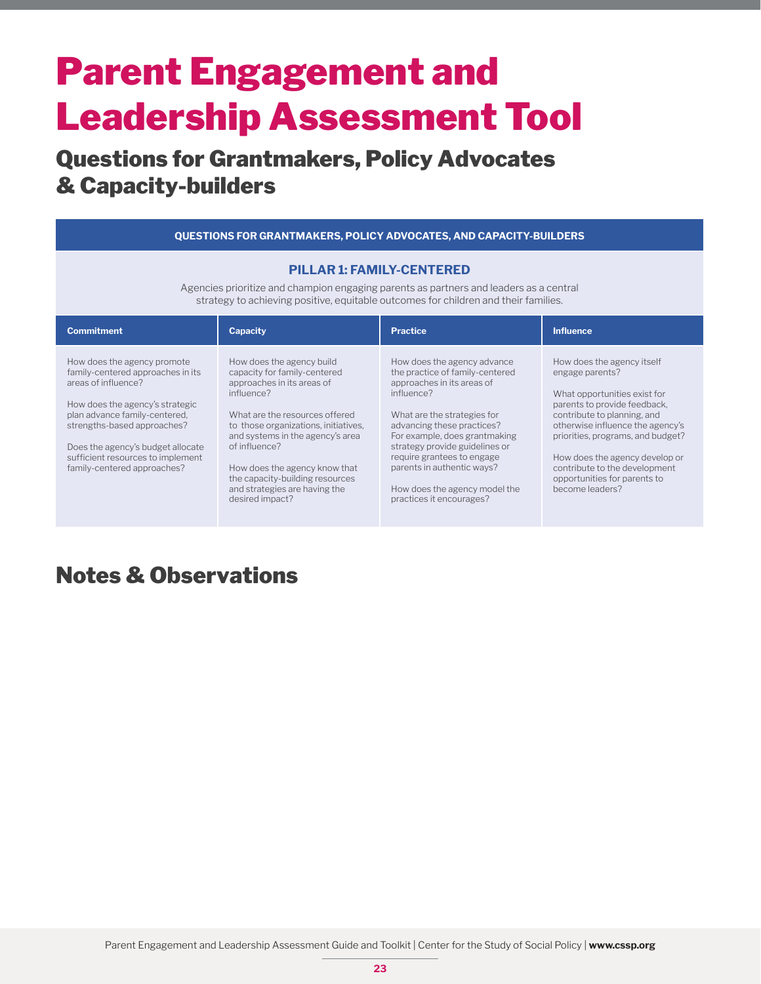### Questions for Grantmakers, Policy Advocates & Capacity-builders

| <b>QUESTIONS FOR GRANTMAKERS, POLICY ADVOCATES, AND CAPACITY-BUILDERS</b>                                                                                                                                                                                                                           |                                                                                                                                                                                                                                                                                                                                                              |                                                                                                                                                                                                                                                                                                                                                                     |                                                                                                                                                                                                                                                                                                                                             |  |
|-----------------------------------------------------------------------------------------------------------------------------------------------------------------------------------------------------------------------------------------------------------------------------------------------------|--------------------------------------------------------------------------------------------------------------------------------------------------------------------------------------------------------------------------------------------------------------------------------------------------------------------------------------------------------------|---------------------------------------------------------------------------------------------------------------------------------------------------------------------------------------------------------------------------------------------------------------------------------------------------------------------------------------------------------------------|---------------------------------------------------------------------------------------------------------------------------------------------------------------------------------------------------------------------------------------------------------------------------------------------------------------------------------------------|--|
| <b>PILLAR 1: FAMILY-CENTERED</b><br>Agencies prioritize and champion engaging parents as partners and leaders as a central<br>strategy to achieving positive, equitable outcomes for children and their families.                                                                                   |                                                                                                                                                                                                                                                                                                                                                              |                                                                                                                                                                                                                                                                                                                                                                     |                                                                                                                                                                                                                                                                                                                                             |  |
| <b>Commitment</b>                                                                                                                                                                                                                                                                                   | <b>Capacity</b>                                                                                                                                                                                                                                                                                                                                              | <b>Practice</b>                                                                                                                                                                                                                                                                                                                                                     | <b>Influence</b>                                                                                                                                                                                                                                                                                                                            |  |
| How does the agency promote<br>family-centered approaches in its<br>areas of influence?<br>How does the agency's strategic<br>plan advance family-centered,<br>strengths-based approaches?<br>Does the agency's budget allocate<br>sufficient resources to implement<br>family-centered approaches? | How does the agency build<br>capacity for family-centered<br>approaches in its areas of<br>influence?<br>What are the resources offered<br>to those organizations, initiatives,<br>and systems in the agency's area<br>of influence?<br>How does the agency know that<br>the capacity-building resources<br>and strategies are having the<br>desired impact? | How does the agency advance<br>the practice of family-centered<br>approaches in its areas of<br>influence?<br>What are the strategies for<br>advancing these practices?<br>For example, does grantmaking<br>strategy provide guidelines or<br>require grantees to engage<br>parents in authentic ways?<br>How does the agency model the<br>practices it encourages? | How does the agency itself<br>engage parents?<br>What opportunities exist for<br>parents to provide feedback,<br>contribute to planning, and<br>otherwise influence the agency's<br>priorities, programs, and budget?<br>How does the agency develop or<br>contribute to the development<br>opportunities for parents to<br>become leaders? |  |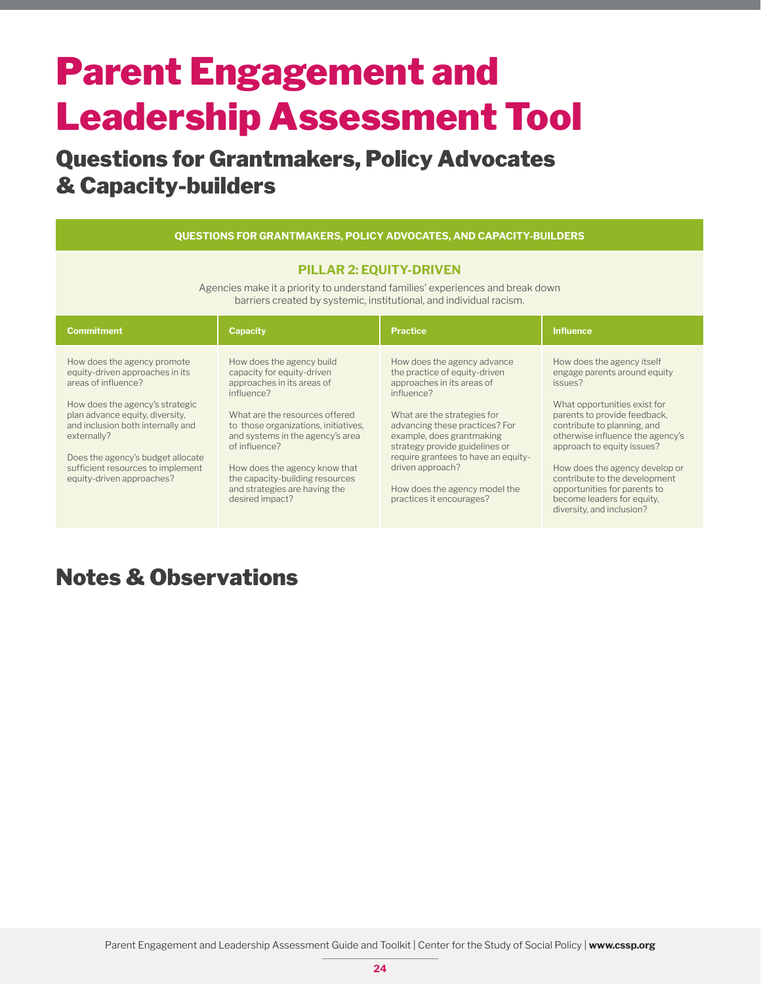### Questions for Grantmakers, Policy Advocates & Capacity-builders

| <b>QUESTIONS FOR GRANTMAKERS, POLICY ADVOCATES, AND CAPACITY-BUILDERS</b>                                                                                                                                                                                                                                              |                                                                                                                                                                                                                                                                                                                                                            |                                                                                                                                                                                                                                                                                                                                                                  |                                                                                                                                                                                                                                                                                                                                                                                                      |  |
|------------------------------------------------------------------------------------------------------------------------------------------------------------------------------------------------------------------------------------------------------------------------------------------------------------------------|------------------------------------------------------------------------------------------------------------------------------------------------------------------------------------------------------------------------------------------------------------------------------------------------------------------------------------------------------------|------------------------------------------------------------------------------------------------------------------------------------------------------------------------------------------------------------------------------------------------------------------------------------------------------------------------------------------------------------------|------------------------------------------------------------------------------------------------------------------------------------------------------------------------------------------------------------------------------------------------------------------------------------------------------------------------------------------------------------------------------------------------------|--|
| <b>PILLAR 2: EQUITY-DRIVEN</b><br>Agencies make it a priority to understand families' experiences and break down<br>barriers created by systemic, institutional, and individual racism.                                                                                                                                |                                                                                                                                                                                                                                                                                                                                                            |                                                                                                                                                                                                                                                                                                                                                                  |                                                                                                                                                                                                                                                                                                                                                                                                      |  |
| <b>Commitment</b>                                                                                                                                                                                                                                                                                                      | <b>Capacity</b>                                                                                                                                                                                                                                                                                                                                            | <b>Practice</b>                                                                                                                                                                                                                                                                                                                                                  | <b>Influence</b>                                                                                                                                                                                                                                                                                                                                                                                     |  |
| How does the agency promote<br>equity-driven approaches in its<br>areas of influence?<br>How does the agency's strategic<br>plan advance equity, diversity,<br>and inclusion both internally and<br>externally?<br>Does the agency's budget allocate<br>sufficient resources to implement<br>equity-driven approaches? | How does the agency build<br>capacity for equity-driven<br>approaches in its areas of<br>influence?<br>What are the resources offered<br>to those organizations, initiatives,<br>and systems in the agency's area<br>of influence?<br>How does the agency know that<br>the capacity-building resources<br>and strategies are having the<br>desired impact? | How does the agency advance<br>the practice of equity-driven<br>approaches in its areas of<br>influence?<br>What are the strategies for<br>advancing these practices? For<br>example, does grantmaking<br>strategy provide guidelines or<br>require grantees to have an equity-<br>driven approach?<br>How does the agency model the<br>practices it encourages? | How does the agency itself<br>engage parents around equity<br>issues?<br>What opportunities exist for<br>parents to provide feedback,<br>contribute to planning, and<br>otherwise influence the agency's<br>approach to equity issues?<br>How does the agency develop or<br>contribute to the development<br>opportunities for parents to<br>become leaders for equity,<br>diversity, and inclusion? |  |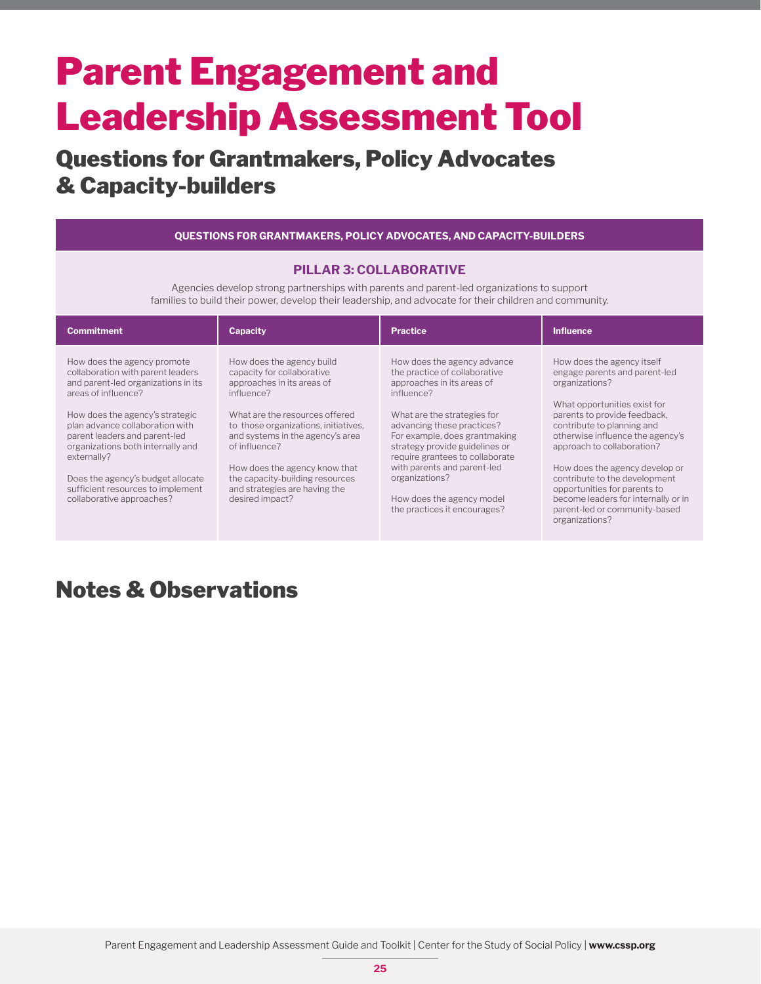### Questions for Grantmakers, Policy Advocates & Capacity-builders

**QUESTIONS FOR GRANTMAKERS, POLICY ADVOCATES, AND CAPACITY-BUILDERS**

#### **PILLAR 3: COLLABORATIVE**

Agencies develop strong partnerships with parents and parent-led organizations to support families to build their power, develop their leadership, and advocate for their children and community.

| <b>Commitment</b>                                                                                                                                                                                                                                                                                                                                                                                | <b>Capacity</b>                                                                                                                                                                                                                                                                                                                                            | Practice                                                                                                                                                                                                                                                                                                                                                                                  | <b>Influence</b>                                                                                                                                                                                                                                                                                                                                                                                                                           |
|--------------------------------------------------------------------------------------------------------------------------------------------------------------------------------------------------------------------------------------------------------------------------------------------------------------------------------------------------------------------------------------------------|------------------------------------------------------------------------------------------------------------------------------------------------------------------------------------------------------------------------------------------------------------------------------------------------------------------------------------------------------------|-------------------------------------------------------------------------------------------------------------------------------------------------------------------------------------------------------------------------------------------------------------------------------------------------------------------------------------------------------------------------------------------|--------------------------------------------------------------------------------------------------------------------------------------------------------------------------------------------------------------------------------------------------------------------------------------------------------------------------------------------------------------------------------------------------------------------------------------------|
| How does the agency promote<br>collaboration with parent leaders<br>and parent-led organizations in its<br>areas of influence?<br>How does the agency's strategic<br>plan advance collaboration with<br>parent leaders and parent-led<br>organizations both internally and<br>externally?<br>Does the agency's budget allocate<br>sufficient resources to implement<br>collaborative approaches? | How does the agency build<br>capacity for collaborative<br>approaches in its areas of<br>influence?<br>What are the resources offered<br>to those organizations, initiatives,<br>and systems in the agency's area<br>of influence?<br>How does the agency know that<br>the capacity-building resources<br>and strategies are having the<br>desired impact? | How does the agency advance<br>the practice of collaborative<br>approaches in its areas of<br>influence?<br>What are the strategies for<br>advancing these practices?<br>For example, does grantmaking<br>strategy provide guidelines or<br>require grantees to collaborate<br>with parents and parent-led<br>organizations?<br>How does the agency model<br>the practices it encourages? | How does the agency itself<br>engage parents and parent-led<br>organizations?<br>What opportunities exist for<br>parents to provide feedback.<br>contribute to planning and<br>otherwise influence the agency's<br>approach to collaboration?<br>How does the agency develop or<br>contribute to the development<br>opportunities for parents to<br>become leaders for internally or in<br>parent-led or community-based<br>organizations? |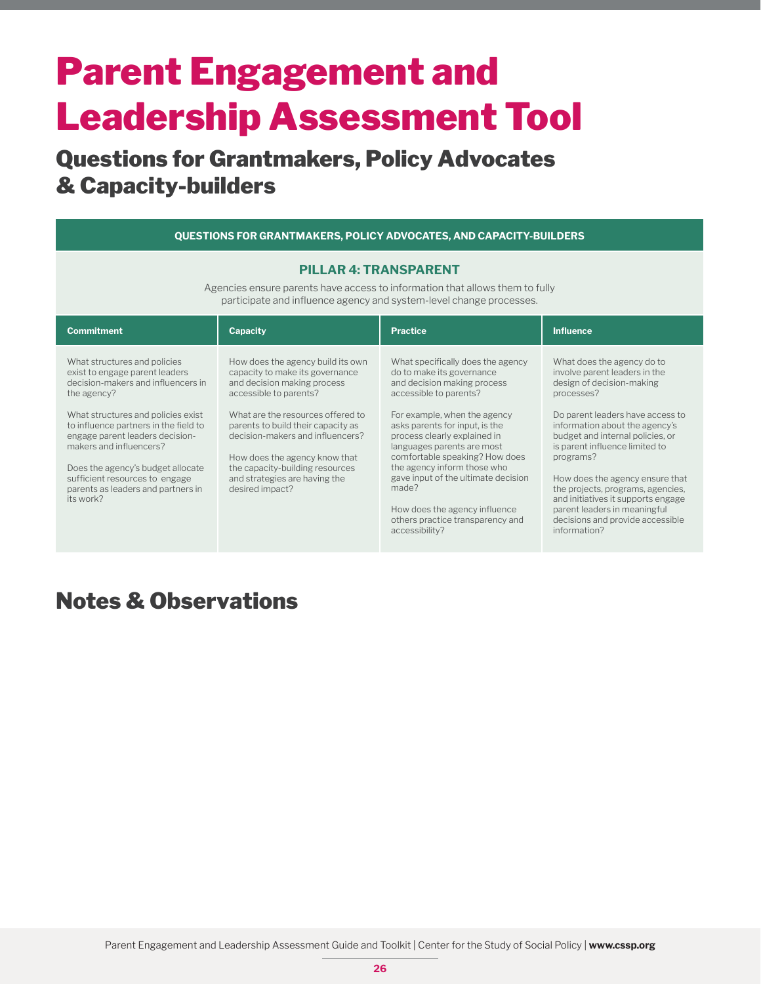### Questions for Grantmakers, Policy Advocates & Capacity-builders

| QUESTIONS FOR GRANTMAKERS, POLICY ADVOCATES, AND CAPACITY-BUILDERS                                                                                                                                                                                                                                                                                                                         |                                                                                                                                                                                                                                                                                                                                                                      |                                                                                                                                                                                                                                                                                                                                                                                                                                                                 |                                                                                                                                                                                                                                                                                                                                                                                                                                                                   |  |
|--------------------------------------------------------------------------------------------------------------------------------------------------------------------------------------------------------------------------------------------------------------------------------------------------------------------------------------------------------------------------------------------|----------------------------------------------------------------------------------------------------------------------------------------------------------------------------------------------------------------------------------------------------------------------------------------------------------------------------------------------------------------------|-----------------------------------------------------------------------------------------------------------------------------------------------------------------------------------------------------------------------------------------------------------------------------------------------------------------------------------------------------------------------------------------------------------------------------------------------------------------|-------------------------------------------------------------------------------------------------------------------------------------------------------------------------------------------------------------------------------------------------------------------------------------------------------------------------------------------------------------------------------------------------------------------------------------------------------------------|--|
| <b>PILLAR 4: TRANSPARENT</b><br>Agencies ensure parents have access to information that allows them to fully<br>participate and influence agency and system-level change processes.                                                                                                                                                                                                        |                                                                                                                                                                                                                                                                                                                                                                      |                                                                                                                                                                                                                                                                                                                                                                                                                                                                 |                                                                                                                                                                                                                                                                                                                                                                                                                                                                   |  |
| <b>Commitment</b>                                                                                                                                                                                                                                                                                                                                                                          | <b>Capacity</b>                                                                                                                                                                                                                                                                                                                                                      | <b>Practice</b>                                                                                                                                                                                                                                                                                                                                                                                                                                                 | <b>Influence</b>                                                                                                                                                                                                                                                                                                                                                                                                                                                  |  |
| What structures and policies<br>exist to engage parent leaders<br>decision-makers and influencers in<br>the agency?<br>What structures and policies exist<br>to influence partners in the field to<br>engage parent leaders decision-<br>makers and influencers?<br>Does the agency's budget allocate<br>sufficient resources to engage<br>parents as leaders and partners in<br>its work? | How does the agency build its own<br>capacity to make its governance<br>and decision making process<br>accessible to parents?<br>What are the resources offered to<br>parents to build their capacity as<br>decision-makers and influencers?<br>How does the agency know that<br>the capacity-building resources<br>and strategies are having the<br>desired impact? | What specifically does the agency<br>do to make its governance<br>and decision making process<br>accessible to parents?<br>For example, when the agency<br>asks parents for input, is the<br>process clearly explained in<br>languages parents are most<br>comfortable speaking? How does<br>the agency inform those who<br>gave input of the ultimate decision<br>made?<br>How does the agency influence<br>others practice transparency and<br>accessibility? | What does the agency do to<br>involve parent leaders in the<br>design of decision-making<br>processes?<br>Do parent leaders have access to<br>information about the agency's<br>budget and internal policies, or<br>is parent influence limited to<br>programs?<br>How does the agency ensure that<br>the projects, programs, agencies,<br>and initiatives it supports engage<br>parent leaders in meaningful<br>decisions and provide accessible<br>information? |  |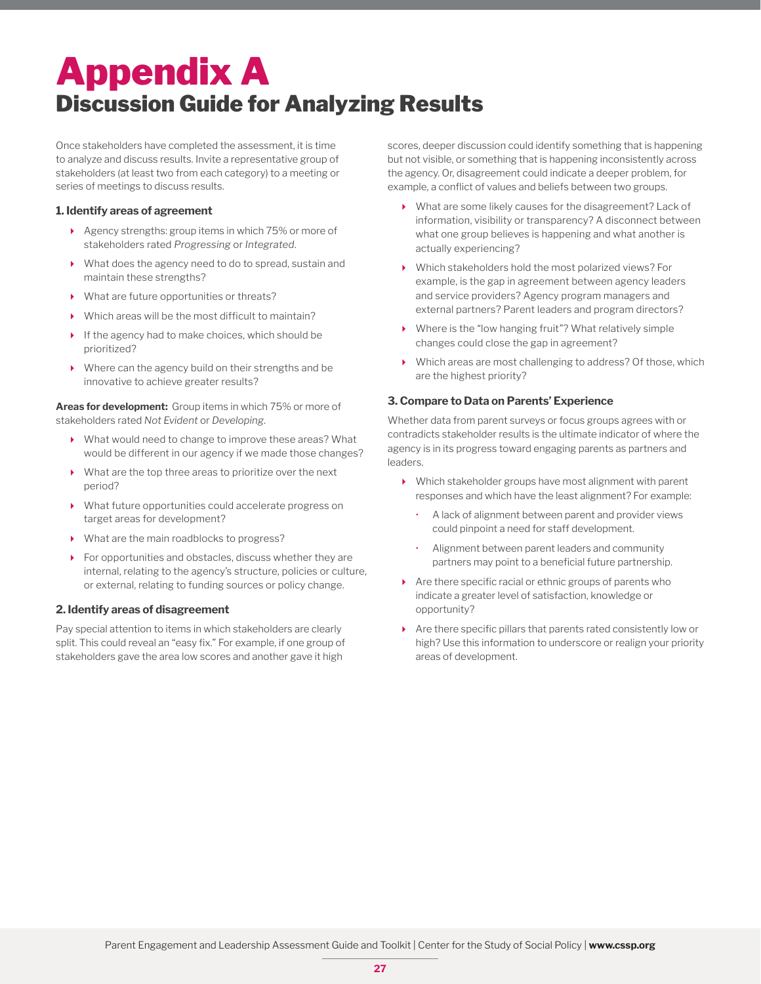## Appendix A Discussion Guide for Analyzing Results

Once stakeholders have completed the assessment, it is time to analyze and discuss results. Invite a representative group of stakeholders (at least two from each category) to a meeting or series of meetings to discuss results.

#### **1. Identify areas of agreement**

- Agency strengths: group items in which 75% or more of stakeholders rated *Progressing* or *Integrated*.
- What does the agency need to do to spread, sustain and maintain these strengths?
- What are future opportunities or threats?
- Which areas will be the most difficult to maintain?
- If the agency had to make choices, which should be prioritized?
- Where can the agency build on their strengths and be innovative to achieve greater results?

**Areas for development:** Group items in which 75% or more of stakeholders rated *Not Evident* or *Developing*.

- What would need to change to improve these areas? What would be different in our agency if we made those changes?
- What are the top three areas to prioritize over the next period?
- What future opportunities could accelerate progress on target areas for development?
- What are the main roadblocks to progress?
- For opportunities and obstacles, discuss whether they are internal, relating to the agency's structure, policies or culture, or external, relating to funding sources or policy change.

#### **2. Identify areas of disagreement**

Pay special attention to items in which stakeholders are clearly split. This could reveal an "easy fix." For example, if one group of stakeholders gave the area low scores and another gave it high

scores, deeper discussion could identify something that is happening but not visible, or something that is happening inconsistently across the agency. Or, disagreement could indicate a deeper problem, for example, a conflict of values and beliefs between two groups.

- What are some likely causes for the disagreement? Lack of information, visibility or transparency? A disconnect between what one group believes is happening and what another is actually experiencing?
- Which stakeholders hold the most polarized views? For example, is the gap in agreement between agency leaders and service providers? Agency program managers and external partners? Parent leaders and program directors?
- Where is the "low hanging fruit"? What relatively simple changes could close the gap in agreement?
- Which areas are most challenging to address? Of those, which are the highest priority?

#### **3. Compare to Data on Parents' Experience**

Whether data from parent surveys or focus groups agrees with or contradicts stakeholder results is the ultimate indicator of where the agency is in its progress toward engaging parents as partners and leaders.

- Which stakeholder groups have most alignment with parent responses and which have the least alignment? For example:
	- A lack of alignment between parent and provider views could pinpoint a need for staff development.
	- Alignment between parent leaders and community partners may point to a beneficial future partnership.
- Are there specific racial or ethnic groups of parents who indicate a greater level of satisfaction, knowledge or opportunity?
- Are there specific pillars that parents rated consistently low or high? Use this information to underscore or realign your priority areas of development.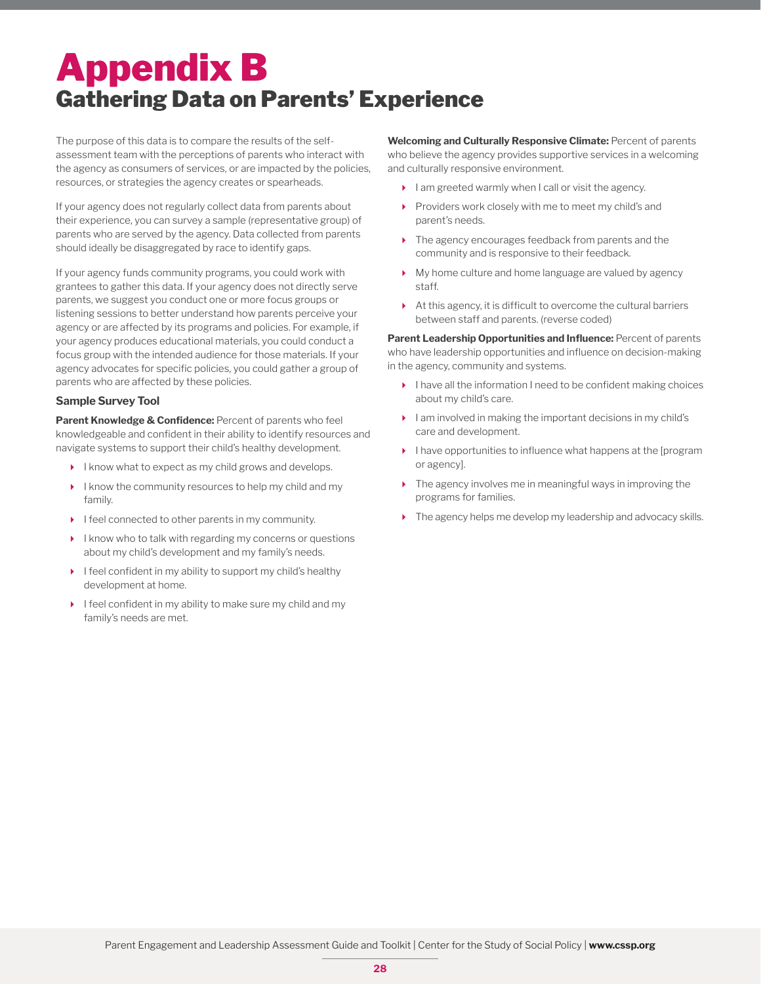## Appendix B Gathering Data on Parents' Experience

The purpose of this data is to compare the results of the selfassessment team with the perceptions of parents who interact with the agency as consumers of services, or are impacted by the policies, resources, or strategies the agency creates or spearheads.

If your agency does not regularly collect data from parents about their experience, you can survey a sample (representative group) of parents who are served by the agency. Data collected from parents should ideally be disaggregated by race to identify gaps.

If your agency funds community programs, you could work with grantees to gather this data. If your agency does not directly serve parents, we suggest you conduct one or more focus groups or listening sessions to better understand how parents perceive your agency or are affected by its programs and policies. For example, if your agency produces educational materials, you could conduct a focus group with the intended audience for those materials. If your agency advocates for specific policies, you could gather a group of parents who are affected by these policies.

#### **Sample Survey Tool**

**Parent Knowledge & Confidence:** Percent of parents who feel knowledgeable and confident in their ability to identify resources and navigate systems to support their child's healthy development.

- $\blacktriangleright$  I know what to expect as my child grows and develops.
- I know the community resources to help my child and my family.
- $\blacktriangleright$  I feel connected to other parents in my community.
- I know who to talk with regarding my concerns or questions about my child's development and my family's needs.
- $\blacktriangleright$  I feel confident in my ability to support my child's healthy development at home.
- I feel confident in my ability to make sure my child and my family's needs are met.

**Welcoming and Culturally Responsive Climate:** Percent of parents who believe the agency provides supportive services in a welcoming and culturally responsive environment.

- $\blacktriangleright$  lam greeted warmly when I call or visit the agency.
- Providers work closely with me to meet my child's and parent's needs.
- ▶ The agency encourages feedback from parents and the community and is responsive to their feedback.
- My home culture and home language are valued by agency staff.
- At this agency, it is difficult to overcome the cultural barriers between staff and parents. (reverse coded)

**Parent Leadership Opportunities and Influence: Percent of parents** who have leadership opportunities and influence on decision-making in the agency, community and systems.

- $\blacktriangleright$  I have all the information I need to be confident making choices about my child's care.
- $\blacktriangleright$  I am involved in making the important decisions in my child's care and development.
- I have opportunities to influence what happens at the [program or agency].
- The agency involves me in meaningful ways in improving the programs for families.
- $\blacktriangleright$  The agency helps me develop my leadership and advocacy skills.